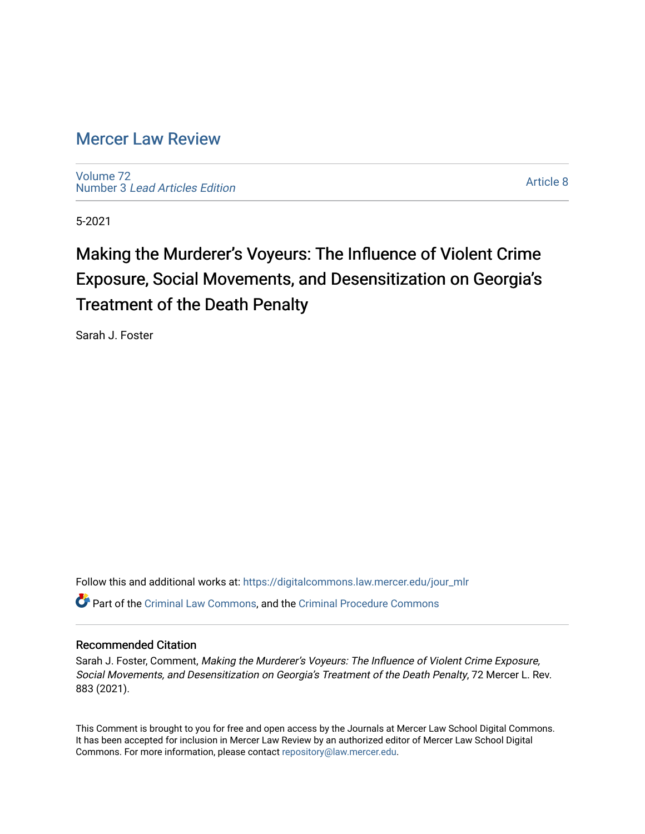### [Mercer Law Review](https://digitalcommons.law.mercer.edu/jour_mlr)

[Volume 72](https://digitalcommons.law.mercer.edu/jour_mlr/vol72) Number 3 [Lead Articles Edition](https://digitalcommons.law.mercer.edu/jour_mlr/vol72/iss3)

[Article 8](https://digitalcommons.law.mercer.edu/jour_mlr/vol72/iss3/8) 

5-2021

## Making the Murderer's Voyeurs: The Influence of Violent Crime Exposure, Social Movements, and Desensitization on Georgia's Treatment of the Death Penalty

Sarah J. Foster

Follow this and additional works at: [https://digitalcommons.law.mercer.edu/jour\\_mlr](https://digitalcommons.law.mercer.edu/jour_mlr?utm_source=digitalcommons.law.mercer.edu%2Fjour_mlr%2Fvol72%2Fiss3%2F8&utm_medium=PDF&utm_campaign=PDFCoverPages) Part of the [Criminal Law Commons,](http://network.bepress.com/hgg/discipline/912?utm_source=digitalcommons.law.mercer.edu%2Fjour_mlr%2Fvol72%2Fiss3%2F8&utm_medium=PDF&utm_campaign=PDFCoverPages) and the [Criminal Procedure Commons](http://network.bepress.com/hgg/discipline/1073?utm_source=digitalcommons.law.mercer.edu%2Fjour_mlr%2Fvol72%2Fiss3%2F8&utm_medium=PDF&utm_campaign=PDFCoverPages)

### Recommended Citation

Sarah J. Foster, Comment, Making the Murderer's Voyeurs: The Influence of Violent Crime Exposure, Social Movements, and Desensitization on Georgia's Treatment of the Death Penalty, 72 Mercer L. Rev. 883 (2021).

This Comment is brought to you for free and open access by the Journals at Mercer Law School Digital Commons. It has been accepted for inclusion in Mercer Law Review by an authorized editor of Mercer Law School Digital Commons. For more information, please contact [repository@law.mercer.edu.](mailto:repository@law.mercer.edu)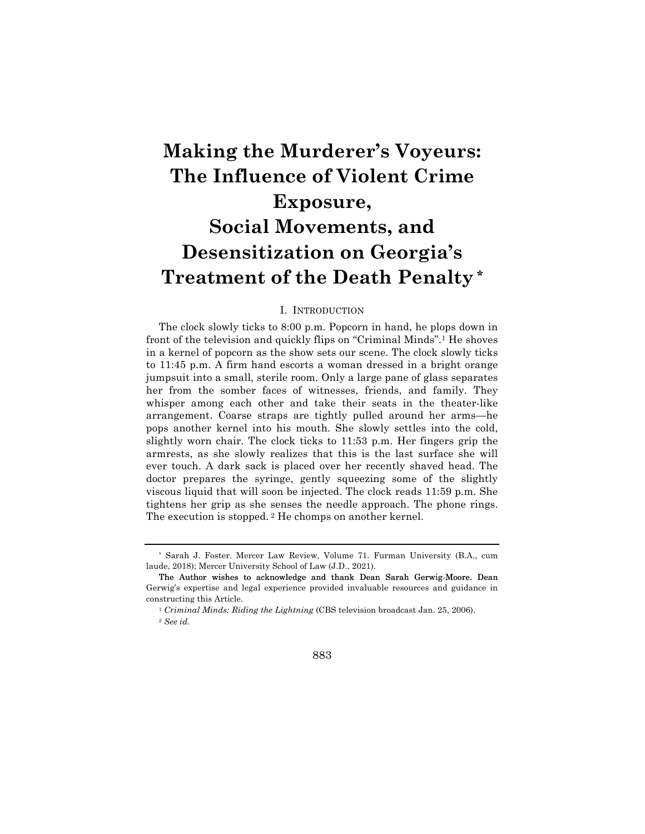# **Making the Murderer's Voyeurs: The Influence of Violent Crime Exposure, Social Movements, and Desensitization on Georgia's Treatment of the Death Penalty \***

#### I. INTRODUCTION

The clock slowly ticks to 8:00 p.m. Popcorn in hand, he plops down in front of the television and quickly flips on "Criminal Minds".1 He shoves in a kernel of popcorn as the show sets our scene. The clock slowly ticks to 11:45 p.m. A firm hand escorts a woman dressed in a bright orange jumpsuit into a small, sterile room. Only a large pane of glass separates her from the somber faces of witnesses, friends, and family. They whisper among each other and take their seats in the theater-like arrangement. Coarse straps are tightly pulled around her arms—he pops another kernel into his mouth. She slowly settles into the cold, slightly worn chair. The clock ticks to 11:53 p.m. Her fingers grip the armrests, as she slowly realizes that this is the last surface she will ever touch. A dark sack is placed over her recently shaved head. The doctor prepares the syringe, gently squeezing some of the slightly viscous liquid that will soon be injected. The clock reads 11:59 p.m. She tightens her grip as she senses the needle approach. The phone rings. The execution is stopped. <sup>2</sup> He chomps on another kernel.

<sup>1</sup> *Criminal Minds: Riding the Lightning* (CBS television broadcast Jan. 25, 2006). <sup>2</sup> *See id.*



<sup>\*</sup> Sarah J. Foster. Mercer Law Review, Volume 71. Furman University (B.A., cum laude, 2018); Mercer University School of Law (J.D., 2021).

The Author wishes to acknowledge and thank Dean Sarah Gerwig-Moore. Dean Gerwig's expertise and legal experience provided invaluable resources and guidance in constructing this Article.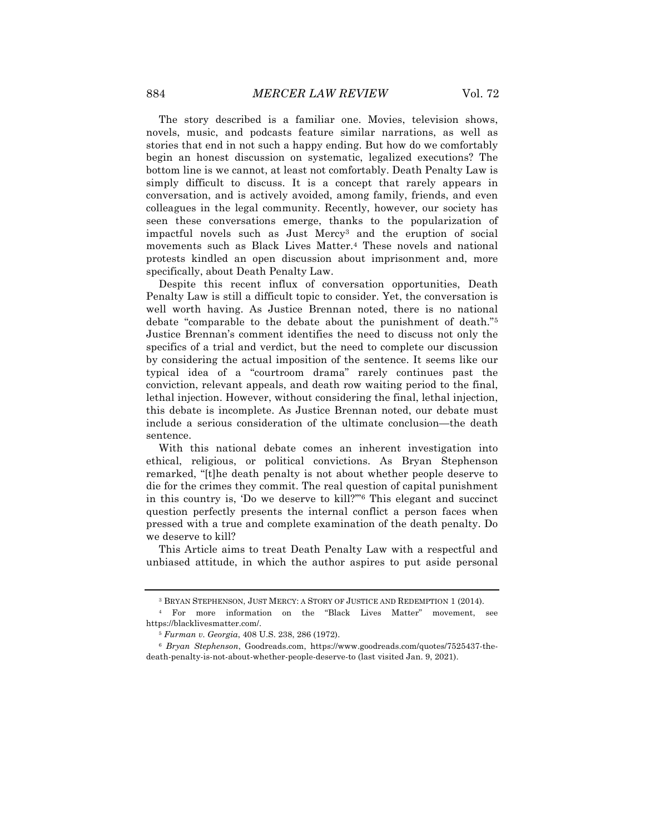The story described is a familiar one. Movies, television shows, novels, music, and podcasts feature similar narrations, as well as stories that end in not such a happy ending. But how do we comfortably begin an honest discussion on systematic, legalized executions? The bottom line is we cannot, at least not comfortably. Death Penalty Law is simply difficult to discuss. It is a concept that rarely appears in conversation, and is actively avoided, among family, friends, and even colleagues in the legal community. Recently, however, our society has seen these conversations emerge, thanks to the popularization of impactful novels such as Just Mercy3 and the eruption of social movements such as Black Lives Matter.4 These novels and national protests kindled an open discussion about imprisonment and, more specifically, about Death Penalty Law.

Despite this recent influx of conversation opportunities, Death Penalty Law is still a difficult topic to consider. Yet, the conversation is well worth having. As Justice Brennan noted, there is no national debate "comparable to the debate about the punishment of death."5 Justice Brennan's comment identifies the need to discuss not only the specifics of a trial and verdict, but the need to complete our discussion by considering the actual imposition of the sentence. It seems like our typical idea of a "courtroom drama" rarely continues past the conviction, relevant appeals, and death row waiting period to the final, lethal injection. However, without considering the final, lethal injection, this debate is incomplete. As Justice Brennan noted, our debate must include a serious consideration of the ultimate conclusion—the death sentence.

With this national debate comes an inherent investigation into ethical, religious, or political convictions. As Bryan Stephenson remarked, "[t]he death penalty is not about whether people deserve to die for the crimes they commit. The real question of capital punishment in this country is, 'Do we deserve to kill?'"6 This elegant and succinct question perfectly presents the internal conflict a person faces when pressed with a true and complete examination of the death penalty. Do we deserve to kill?

This Article aims to treat Death Penalty Law with a respectful and unbiased attitude, in which the author aspires to put aside personal

<sup>3</sup> BRYAN STEPHENSON, JUST MERCY: A STORY OF JUSTICE AND REDEMPTION 1 (2014).

<sup>4</sup> For more information on the "Black Lives Matter" movement, see https://blacklivesmatter.com/.

<sup>5</sup> *Furman v. Georgia*, 408 U.S. 238, 286 (1972).

<sup>6</sup> *Bryan Stephenson*, Goodreads.com, https://www.goodreads.com/quotes/7525437-thedeath-penalty-is-not-about-whether-people-deserve-to (last visited Jan. 9, 2021).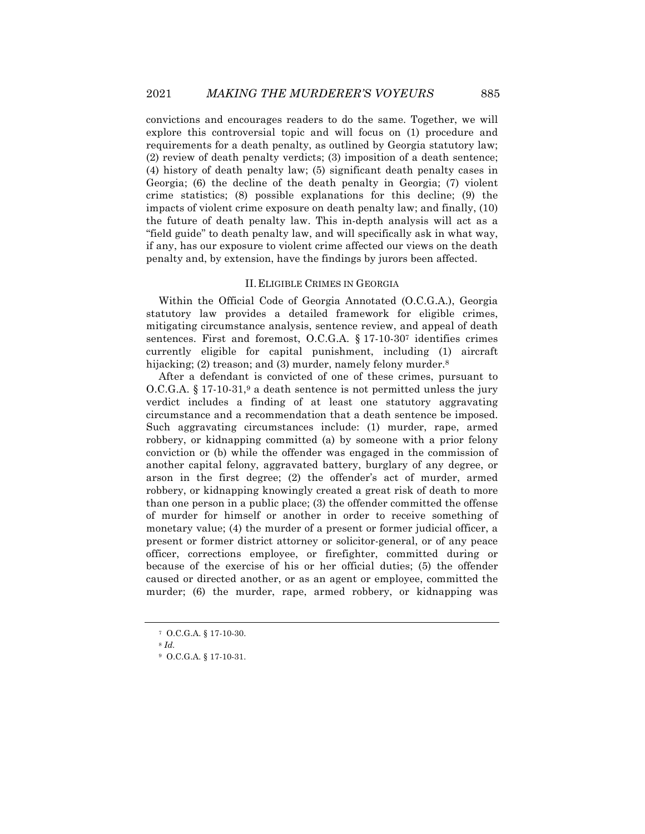convictions and encourages readers to do the same. Together, we will explore this controversial topic and will focus on (1) procedure and requirements for a death penalty, as outlined by Georgia statutory law; (2) review of death penalty verdicts; (3) imposition of a death sentence; (4) history of death penalty law; (5) significant death penalty cases in Georgia; (6) the decline of the death penalty in Georgia; (7) violent crime statistics; (8) possible explanations for this decline; (9) the impacts of violent crime exposure on death penalty law; and finally, (10) the future of death penalty law. This in-depth analysis will act as a "field guide" to death penalty law, and will specifically ask in what way, if any, has our exposure to violent crime affected our views on the death penalty and, by extension, have the findings by jurors been affected.

#### II.ELIGIBLE CRIMES IN GEORGIA

Within the Official Code of Georgia Annotated (O.C.G.A.), Georgia statutory law provides a detailed framework for eligible crimes, mitigating circumstance analysis, sentence review, and appeal of death sentences. First and foremost, O.C.G.A. § 17-10-307 identifies crimes currently eligible for capital punishment, including (1) aircraft hijacking; (2) treason; and (3) murder, namely felony murder.<sup>8</sup>

After a defendant is convicted of one of these crimes, pursuant to  $O.C.G.A.$  § 17-10-31,<sup>9</sup> a death sentence is not permitted unless the jury verdict includes a finding of at least one statutory aggravating circumstance and a recommendation that a death sentence be imposed. Such aggravating circumstances include: (1) murder, rape, armed robbery, or kidnapping committed (a) by someone with a prior felony conviction or (b) while the offender was engaged in the commission of another capital felony, aggravated battery, burglary of any degree, or arson in the first degree; (2) the offender's act of murder, armed robbery, or kidnapping knowingly created a great risk of death to more than one person in a public place; (3) the offender committed the offense of murder for himself or another in order to receive something of monetary value; (4) the murder of a present or former judicial officer, a present or former district attorney or solicitor-general, or of any peace officer, corrections employee, or firefighter, committed during or because of the exercise of his or her official duties; (5) the offender caused or directed another, or as an agent or employee, committed the murder; (6) the murder, rape, armed robbery, or kidnapping was

<sup>7</sup> O.C.G.A. § 17-10-30.

<sup>8</sup> *Id.*

<sup>9</sup> O.C.G.A. § 17-10-31.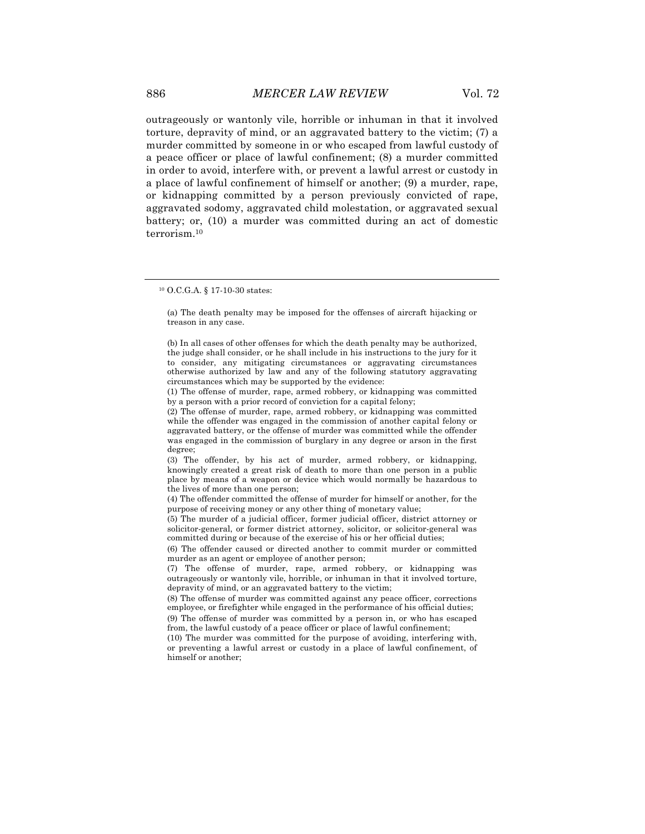outrageously or wantonly vile, horrible or inhuman in that it involved torture, depravity of mind, or an aggravated battery to the victim; (7) a murder committed by someone in or who escaped from lawful custody of a peace officer or place of lawful confinement; (8) a murder committed in order to avoid, interfere with, or prevent a lawful arrest or custody in a place of lawful confinement of himself or another; (9) a murder, rape, or kidnapping committed by a person previously convicted of rape, aggravated sodomy, aggravated child molestation, or aggravated sexual battery; or, (10) a murder was committed during an act of domestic terrorism.10

(a) The death penalty may be imposed for the offenses of aircraft hijacking or treason in any case.

<sup>10</sup> O.C.G.A. § 17-10-30 states:

<sup>(</sup>b) In all cases of other offenses for which the death penalty may be authorized, the judge shall consider, or he shall include in his instructions to the jury for it to consider, any mitigating circumstances or aggravating circumstances otherwise authorized by law and any of the following statutory aggravating circumstances which may be supported by the evidence:

<sup>(1)</sup> The offense of murder, rape, armed robbery, or kidnapping was committed by a person with a prior record of conviction for a capital felony;

<sup>(2)</sup> The offense of murder, rape, armed robbery, or kidnapping was committed while the offender was engaged in the commission of another capital felony or aggravated battery, or the offense of murder was committed while the offender was engaged in the commission of burglary in any degree or arson in the first degree;

<sup>(3)</sup> The offender, by his act of murder, armed robbery, or kidnapping, knowingly created a great risk of death to more than one person in a public place by means of a weapon or device which would normally be hazardous to the lives of more than one person;

<sup>(4)</sup> The offender committed the offense of murder for himself or another, for the purpose of receiving money or any other thing of monetary value;

<sup>(5)</sup> The murder of a judicial officer, former judicial officer, district attorney or solicitor-general, or former district attorney, solicitor, or solicitor-general was committed during or because of the exercise of his or her official duties;

<sup>(6)</sup> The offender caused or directed another to commit murder or committed murder as an agent or employee of another person;

<sup>(7)</sup> The offense of murder, rape, armed robbery, or kidnapping was outrageously or wantonly vile, horrible, or inhuman in that it involved torture, depravity of mind, or an aggravated battery to the victim;

<sup>(8)</sup> The offense of murder was committed against any peace officer, corrections employee, or firefighter while engaged in the performance of his official duties; (9) The offense of murder was committed by a person in, or who has escaped from, the lawful custody of a peace officer or place of lawful confinement;

<sup>(10)</sup> The murder was committed for the purpose of avoiding, interfering with, or preventing a lawful arrest or custody in a place of lawful confinement, of

himself or another;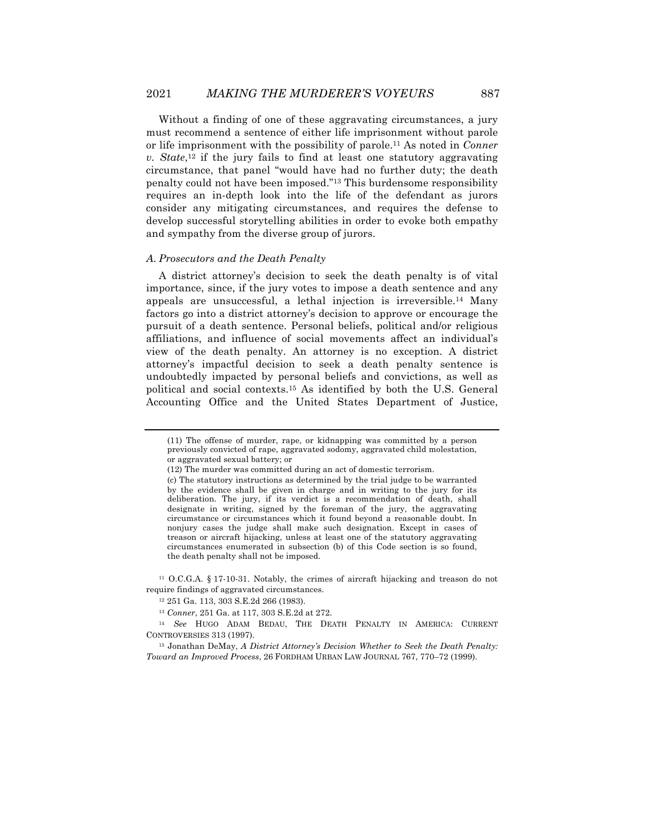Without a finding of one of these aggravating circumstances, a jury must recommend a sentence of either life imprisonment without parole or life imprisonment with the possibility of parole.11 As noted in *Conner v. State*,12 if the jury fails to find at least one statutory aggravating circumstance, that panel "would have had no further duty; the death penalty could not have been imposed."13 This burdensome responsibility requires an in-depth look into the life of the defendant as jurors consider any mitigating circumstances, and requires the defense to develop successful storytelling abilities in order to evoke both empathy and sympathy from the diverse group of jurors.

#### *A. Prosecutors and the Death Penalty*

A district attorney's decision to seek the death penalty is of vital importance, since, if the jury votes to impose a death sentence and any appeals are unsuccessful, a lethal injection is irreversible.14 Many factors go into a district attorney's decision to approve or encourage the pursuit of a death sentence. Personal beliefs, political and/or religious affiliations, and influence of social movements affect an individual's view of the death penalty. An attorney is no exception. A district attorney's impactful decision to seek a death penalty sentence is undoubtedly impacted by personal beliefs and convictions, as well as political and social contexts.15 As identified by both the U.S. General Accounting Office and the United States Department of Justice,

<sup>(11)</sup> The offense of murder, rape, or kidnapping was committed by a person previously convicted of rape, aggravated sodomy, aggravated child molestation, or aggravated sexual battery; or

<sup>(12)</sup> The murder was committed during an act of domestic terrorism.

<sup>(</sup>c) The statutory instructions as determined by the trial judge to be warranted by the evidence shall be given in charge and in writing to the jury for its deliberation. The jury, if its verdict is a recommendation of death, shall designate in writing, signed by the foreman of the jury, the aggravating circumstance or circumstances which it found beyond a reasonable doubt. In nonjury cases the judge shall make such designation. Except in cases of treason or aircraft hijacking, unless at least one of the statutory aggravating circumstances enumerated in subsection (b) of this Code section is so found, the death penalty shall not be imposed.

<sup>11</sup> O.C.G.A. § 17-10-31. Notably, the crimes of aircraft hijacking and treason do not require findings of aggravated circumstances.

<sup>12</sup> 251 Ga. 113, 303 S.E.2d 266 (1983).

<sup>13</sup> *Conner*, 251 Ga. at 117, 303 S.E.2d at 272.

<sup>14</sup> *See* HUGO ADAM BEDAU, THE DEATH PENALTY IN AMERICA: CURRENT CONTROVERSIES 313 (1997).

<sup>15</sup> Jonathan DeMay, *A District Attorney's Decision Whether to Seek the Death Penalty: Toward an Improved Process*, 26 FORDHAM URBAN LAW JOURNAL 767, 770–72 (1999).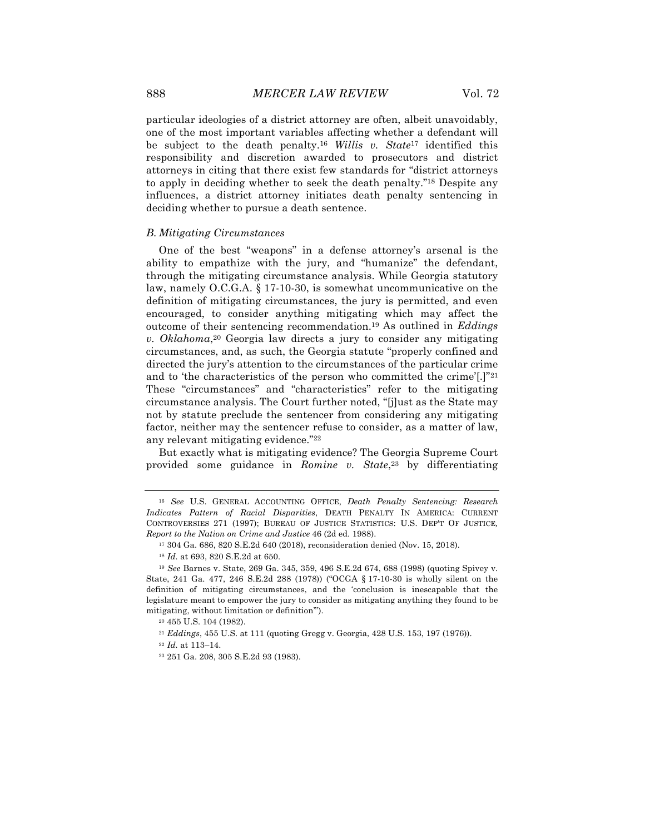particular ideologies of a district attorney are often, albeit unavoidably, one of the most important variables affecting whether a defendant will be subject to the death penalty.16 *Willis v. State*<sup>17</sup> identified this responsibility and discretion awarded to prosecutors and district attorneys in citing that there exist few standards for "district attorneys to apply in deciding whether to seek the death penalty."18 Despite any influences, a district attorney initiates death penalty sentencing in deciding whether to pursue a death sentence.

#### *B. Mitigating Circumstances*

One of the best "weapons" in a defense attorney's arsenal is the ability to empathize with the jury, and "humanize" the defendant, through the mitigating circumstance analysis. While Georgia statutory law, namely O.C.G.A. § 17-10-30, is somewhat uncommunicative on the definition of mitigating circumstances, the jury is permitted, and even encouraged, to consider anything mitigating which may affect the outcome of their sentencing recommendation.19 As outlined in *Eddings v. Oklahoma*,20 Georgia law directs a jury to consider any mitigating circumstances, and, as such, the Georgia statute "properly confined and directed the jury's attention to the circumstances of the particular crime and to 'the characteristics of the person who committed the crime'[.]"21 These "circumstances" and "characteristics" refer to the mitigating circumstance analysis. The Court further noted, "[j]ust as the State may not by statute preclude the sentencer from considering any mitigating factor, neither may the sentencer refuse to consider, as a matter of law, any relevant mitigating evidence."22

But exactly what is mitigating evidence? The Georgia Supreme Court provided some guidance in *Romine v. State*,23 by differentiating

<sup>16</sup> *See* U.S. GENERAL ACCOUNTING OFFICE, *Death Penalty Sentencing: Research Indicates Pattern of Racial Disparities*, DEATH PENALTY IN AMERICA: CURRENT CONTROVERSIES 271 (1997); BUREAU OF JUSTICE STATISTICS: U.S. DEP'T OF JUSTICE*, Report to the Nation on Crime and Justice* 46 (2d ed. 1988).

<sup>17</sup> 304 Ga. 686, 820 S.E.2d 640 (2018), reconsideration denied (Nov. 15, 2018).

<sup>18</sup> *Id.* at 693, 820 S.E.2d at 650.

<sup>19</sup> *See* Barnes v. State, 269 Ga. 345, 359, 496 S.E.2d 674, 688 (1998) (quoting Spivey v. State, 241 Ga. 477, 246 S.E.2d 288 (1978)) ("OCGA § 17-10-30 is wholly silent on the definition of mitigating circumstances, and the 'conclusion is inescapable that the legislature meant to empower the jury to consider as mitigating anything they found to be mitigating, without limitation or definition'").

<sup>20</sup> 455 U.S. 104 (1982).

<sup>21</sup> *Eddings*, 455 U.S. at 111 (quoting Gregg v. Georgia, 428 U.S. 153, 197 (1976)).

<sup>22</sup> *Id.* at 113–14.

<sup>23</sup> 251 Ga. 208, 305 S.E.2d 93 (1983).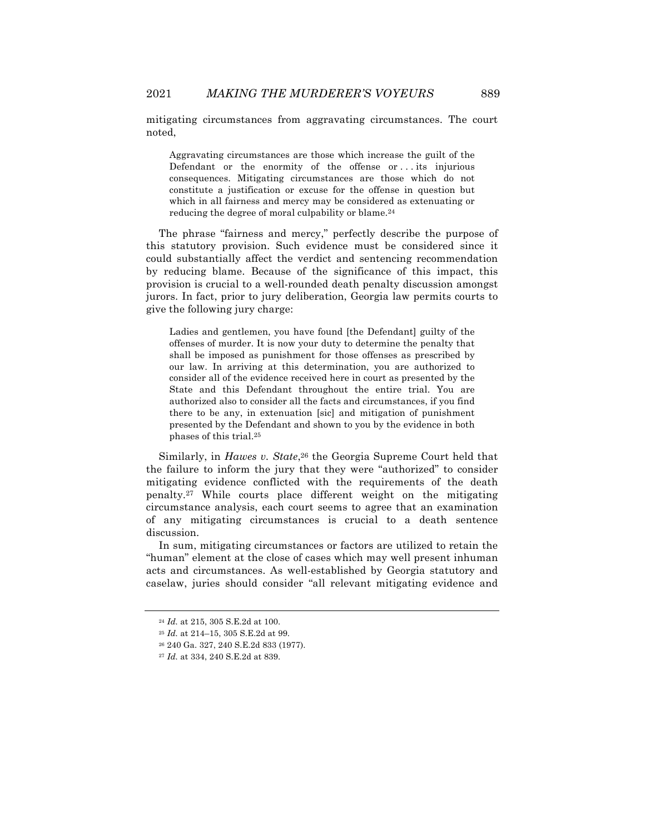mitigating circumstances from aggravating circumstances. The court noted,

Aggravating circumstances are those which increase the guilt of the Defendant or the enormity of the offense or ... its injurious consequences. Mitigating circumstances are those which do not constitute a justification or excuse for the offense in question but which in all fairness and mercy may be considered as extenuating or reducing the degree of moral culpability or blame.24

The phrase "fairness and mercy," perfectly describe the purpose of this statutory provision. Such evidence must be considered since it could substantially affect the verdict and sentencing recommendation by reducing blame. Because of the significance of this impact, this provision is crucial to a well-rounded death penalty discussion amongst jurors. In fact, prior to jury deliberation, Georgia law permits courts to give the following jury charge:

Ladies and gentlemen, you have found [the Defendant] guilty of the offenses of murder. It is now your duty to determine the penalty that shall be imposed as punishment for those offenses as prescribed by our law. In arriving at this determination, you are authorized to consider all of the evidence received here in court as presented by the State and this Defendant throughout the entire trial. You are authorized also to consider all the facts and circumstances, if you find there to be any, in extenuation [sic] and mitigation of punishment presented by the Defendant and shown to you by the evidence in both phases of this trial.25

Similarly, in *Hawes v. State*,<sup>26</sup> the Georgia Supreme Court held that the failure to inform the jury that they were "authorized" to consider mitigating evidence conflicted with the requirements of the death penalty.27 While courts place different weight on the mitigating circumstance analysis, each court seems to agree that an examination of any mitigating circumstances is crucial to a death sentence discussion.

In sum, mitigating circumstances or factors are utilized to retain the "human" element at the close of cases which may well present inhuman acts and circumstances. As well-established by Georgia statutory and caselaw, juries should consider "all relevant mitigating evidence and

<sup>24</sup> *Id.* at 215, 305 S.E.2d at 100.

<sup>25</sup> *Id.* at 214–15, 305 S.E.2d at 99.

<sup>26</sup> 240 Ga. 327, 240 S.E.2d 833 (1977).

<sup>27</sup> *Id.* at 334, 240 S.E.2d at 839.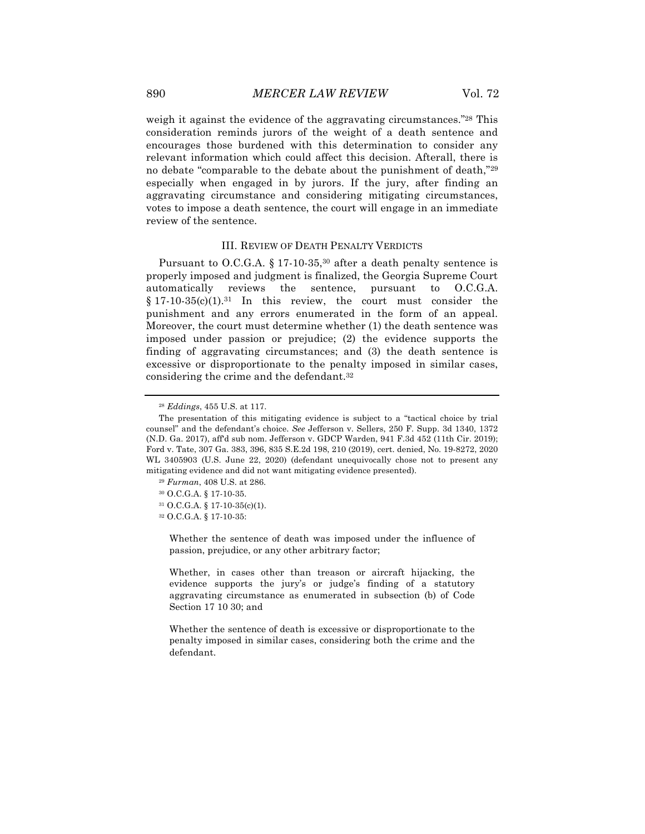weigh it against the evidence of the aggravating circumstances.<sup>"28</sup> This consideration reminds jurors of the weight of a death sentence and encourages those burdened with this determination to consider any relevant information which could affect this decision. Afterall, there is no debate "comparable to the debate about the punishment of death,"29 especially when engaged in by jurors. If the jury, after finding an aggravating circumstance and considering mitigating circumstances, votes to impose a death sentence, the court will engage in an immediate review of the sentence.

#### III. REVIEW OF DEATH PENALTY VERDICTS

Pursuant to O.C.G.A.  $$17 \cdot 10 \cdot 35$ ,<sup>30</sup> after a death penalty sentence is properly imposed and judgment is finalized, the Georgia Supreme Court automatically reviews the sentence, pursuant to O.C.G.A.  $§ 17-10-35(c)(1).<sup>31</sup>$  In this review, the court must consider the punishment and any errors enumerated in the form of an appeal. Moreover, the court must determine whether (1) the death sentence was imposed under passion or prejudice; (2) the evidence supports the finding of aggravating circumstances; and (3) the death sentence is excessive or disproportionate to the penalty imposed in similar cases, considering the crime and the defendant.32

- <sup>30</sup> O.C.G.A. § 17-10-35.
- <sup>31</sup> O.C.G.A. § 17-10-35(c)(1).

<sup>32</sup> O.C.G.A. § 17-10-35:

Whether the sentence of death was imposed under the influence of passion, prejudice, or any other arbitrary factor;

Whether, in cases other than treason or aircraft hijacking, the evidence supports the jury's or judge's finding of a statutory aggravating circumstance as enumerated in subsection (b) of Code Section 17 10 30; and

Whether the sentence of death is excessive or disproportionate to the penalty imposed in similar cases, considering both the crime and the defendant.

<sup>28</sup> *Eddings*, 455 U.S. at 117.

The presentation of this mitigating evidence is subject to a "tactical choice by trial counsel" and the defendant's choice. *See* Jefferson v. Sellers, 250 F. Supp. 3d 1340, 1372 (N.D. Ga. 2017), aff'd sub nom. Jefferson v. GDCP Warden, 941 F.3d 452 (11th Cir. 2019); Ford v. Tate, 307 Ga. 383, 396, 835 S.E.2d 198, 210 (2019), cert. denied, No. 19-8272, 2020 WL 3405903 (U.S. June 22, 2020) (defendant unequivocally chose not to present any mitigating evidence and did not want mitigating evidence presented).

<sup>29</sup> *Furman*, 408 U.S. at 286.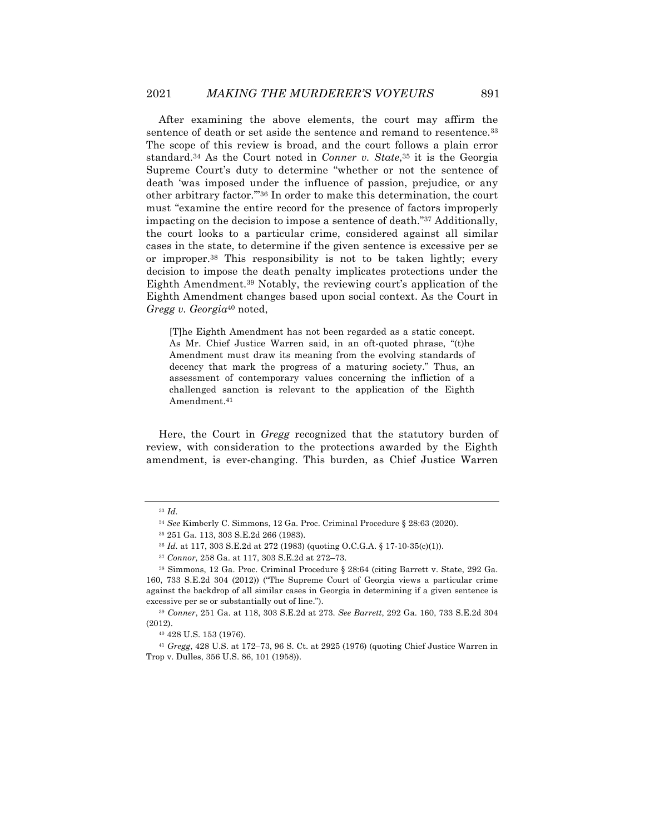After examining the above elements, the court may affirm the sentence of death or set aside the sentence and remand to resentence.33 The scope of this review is broad, and the court follows a plain error standard.34 As the Court noted in *Conner v. State*,35 it is the Georgia Supreme Court's duty to determine "whether or not the sentence of death 'was imposed under the influence of passion, prejudice, or any other arbitrary factor.'"36 In order to make this determination, the court must "examine the entire record for the presence of factors improperly impacting on the decision to impose a sentence of death."37 Additionally, the court looks to a particular crime, considered against all similar cases in the state, to determine if the given sentence is excessive per se or improper.38 This responsibility is not to be taken lightly; every decision to impose the death penalty implicates protections under the Eighth Amendment.39 Notably, the reviewing court's application of the Eighth Amendment changes based upon social context. As the Court in *Gregg v. Georgia*<sup>40</sup> noted,

[T]he Eighth Amendment has not been regarded as a static concept. As Mr. Chief Justice Warren said, in an oft-quoted phrase, "(t)he Amendment must draw its meaning from the evolving standards of decency that mark the progress of a maturing society." Thus, an assessment of contemporary values concerning the infliction of a challenged sanction is relevant to the application of the Eighth Amendment.41

Here, the Court in *Gregg* recognized that the statutory burden of review, with consideration to the protections awarded by the Eighth amendment, is ever-changing. This burden, as Chief Justice Warren

<sup>33</sup> *Id.*

<sup>34</sup> *See* Kimberly C. Simmons, 12 Ga. Proc. Criminal Procedure § 28:63 (2020).

<sup>35</sup> 251 Ga. 113, 303 S.E.2d 266 (1983).

<sup>36</sup> *Id.* at 117, 303 S.E.2d at 272 (1983) (quoting O.C.G.A. § 17-10-35(c)(1)).

<sup>37</sup> *Connor,* 258 Ga. at 117, 303 S.E.2d at 272–73.

<sup>38</sup> Simmons, 12 Ga. Proc. Criminal Procedure § 28:64 (citing Barrett v. State, 292 Ga. 160, 733 S.E.2d 304 (2012)) ("The Supreme Court of Georgia views a particular crime against the backdrop of all similar cases in Georgia in determining if a given sentence is excessive per se or substantially out of line.").

<sup>39</sup> *Conner*, 251 Ga. at 118, 303 S.E.2d at 273. *See Barrett*, 292 Ga. 160, 733 S.E.2d 304 (2012).

<sup>40</sup> 428 U.S. 153 (1976).

<sup>41</sup> *Gregg*, 428 U.S. at 172–73, 96 S. Ct. at 2925 (1976) (quoting Chief Justice Warren in Trop v. Dulles, 356 U.S. 86, 101 (1958)).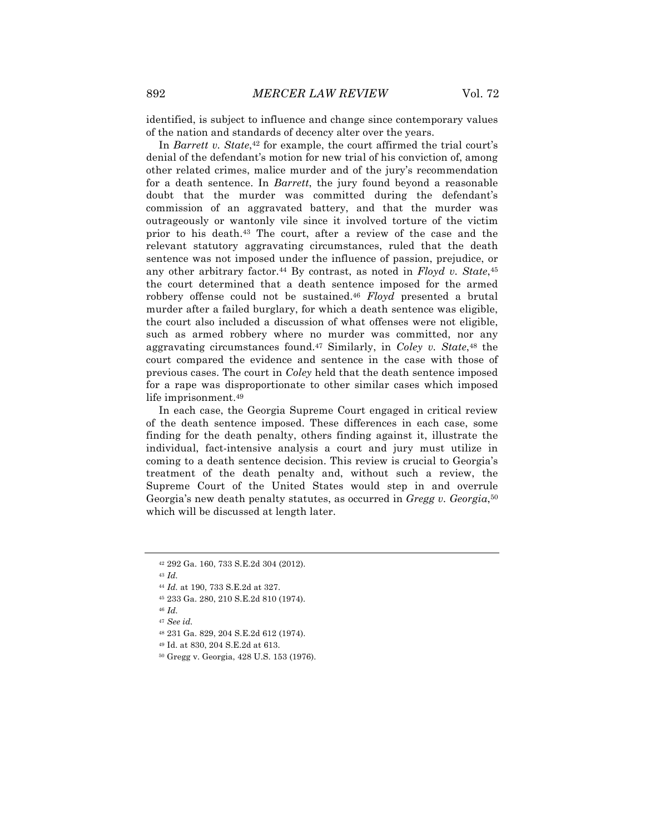identified, is subject to influence and change since contemporary values of the nation and standards of decency alter over the years.

In *Barrett v. State*,<sup>42</sup> for example, the court affirmed the trial court's denial of the defendant's motion for new trial of his conviction of, among other related crimes, malice murder and of the jury's recommendation for a death sentence. In *Barrett*, the jury found beyond a reasonable doubt that the murder was committed during the defendant's commission of an aggravated battery, and that the murder was outrageously or wantonly vile since it involved torture of the victim prior to his death.43 The court, after a review of the case and the relevant statutory aggravating circumstances, ruled that the death sentence was not imposed under the influence of passion, prejudice, or any other arbitrary factor.44 By contrast, as noted in *Floyd v. State*,45 the court determined that a death sentence imposed for the armed robbery offense could not be sustained.46 *Floyd* presented a brutal murder after a failed burglary, for which a death sentence was eligible, the court also included a discussion of what offenses were not eligible, such as armed robbery where no murder was committed, nor any aggravating circumstances found.47 Similarly, in *Coley v. State*,48 the court compared the evidence and sentence in the case with those of previous cases. The court in *Coley* held that the death sentence imposed for a rape was disproportionate to other similar cases which imposed life imprisonment.49

In each case, the Georgia Supreme Court engaged in critical review of the death sentence imposed. These differences in each case, some finding for the death penalty, others finding against it, illustrate the individual, fact-intensive analysis a court and jury must utilize in coming to a death sentence decision. This review is crucial to Georgia's treatment of the death penalty and, without such a review, the Supreme Court of the United States would step in and overrule Georgia's new death penalty statutes, as occurred in *Gregg v. Georgia*,50 which will be discussed at length later.

<sup>43</sup> *Id.*

<sup>46</sup> *Id.*

- <sup>48</sup> 231 Ga. 829, 204 S.E.2d 612 (1974).
- <sup>49</sup> Id. at 830, 204 S.E.2d at 613.
- <sup>50</sup> Gregg v. Georgia, 428 U.S. 153 (1976).

<sup>42</sup> 292 Ga. 160, 733 S.E.2d 304 (2012).

<sup>44</sup> *Id.* at 190, 733 S.E.2d at 327.

<sup>45</sup> 233 Ga. 280, 210 S.E.2d 810 (1974).

<sup>47</sup> *See id.*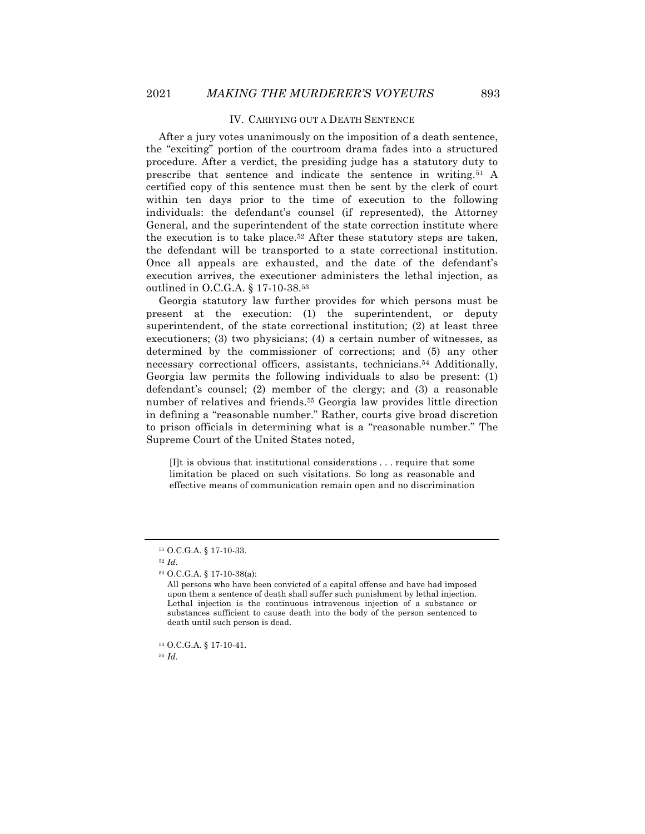#### IV. CARRYING OUT A DEATH SENTENCE

After a jury votes unanimously on the imposition of a death sentence, the "exciting" portion of the courtroom drama fades into a structured procedure. After a verdict, the presiding judge has a statutory duty to prescribe that sentence and indicate the sentence in writing.51 A certified copy of this sentence must then be sent by the clerk of court within ten days prior to the time of execution to the following individuals: the defendant's counsel (if represented), the Attorney General, and the superintendent of the state correction institute where the execution is to take place.52 After these statutory steps are taken, the defendant will be transported to a state correctional institution. Once all appeals are exhausted, and the date of the defendant's execution arrives, the executioner administers the lethal injection, as outlined in O.C.G.A. § 17-10-38.53

Georgia statutory law further provides for which persons must be present at the execution: (1) the superintendent, or deputy superintendent, of the state correctional institution; (2) at least three executioners; (3) two physicians; (4) a certain number of witnesses, as determined by the commissioner of corrections; and (5) any other necessary correctional officers, assistants, technicians.54 Additionally, Georgia law permits the following individuals to also be present: (1) defendant's counsel; (2) member of the clergy; and (3) a reasonable number of relatives and friends.55 Georgia law provides little direction in defining a "reasonable number." Rather, courts give broad discretion to prison officials in determining what is a "reasonable number." The Supreme Court of the United States noted,

[I]t is obvious that institutional considerations . . . require that some limitation be placed on such visitations. So long as reasonable and effective means of communication remain open and no discrimination

<sup>55</sup> *Id.*

<sup>51</sup> O.C.G.A. § 17-10-33.

<sup>52</sup> *Id.*

<sup>53</sup> O.C.G.A. § 17-10-38(a):

All persons who have been convicted of a capital offense and have had imposed upon them a sentence of death shall suffer such punishment by lethal injection. Lethal injection is the continuous intravenous injection of a substance or substances sufficient to cause death into the body of the person sentenced to death until such person is dead.

<sup>54</sup> O.C.G.A. § 17-10-41.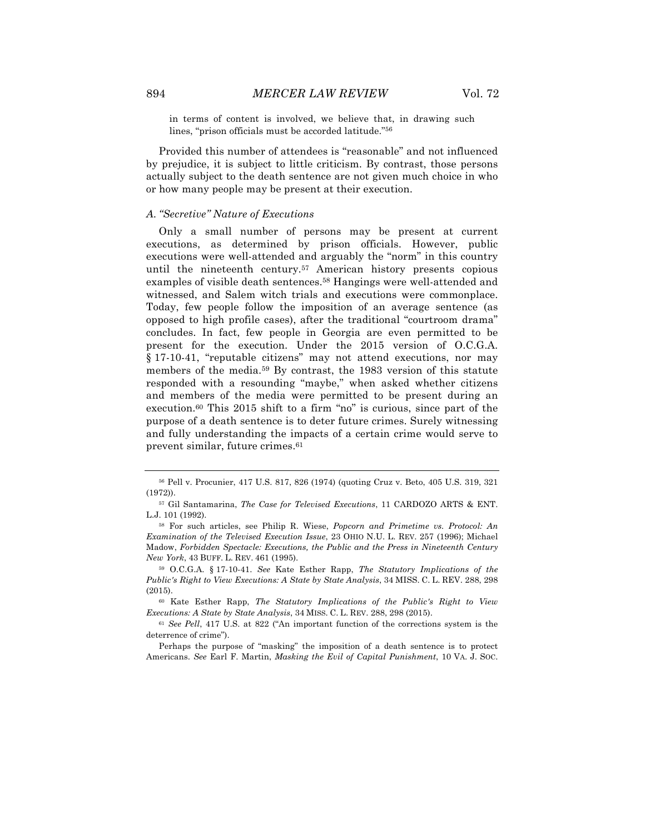in terms of content is involved, we believe that, in drawing such lines, "prison officials must be accorded latitude."56

Provided this number of attendees is "reasonable" and not influenced by prejudice, it is subject to little criticism. By contrast, those persons actually subject to the death sentence are not given much choice in who or how many people may be present at their execution.

#### *A. "Secretive" Nature of Executions*

Only a small number of persons may be present at current executions, as determined by prison officials. However, public executions were well-attended and arguably the "norm" in this country until the nineteenth century.57 American history presents copious examples of visible death sentences.<sup>58</sup> Hangings were well-attended and witnessed, and Salem witch trials and executions were commonplace. Today, few people follow the imposition of an average sentence (as opposed to high profile cases), after the traditional "courtroom drama" concludes. In fact, few people in Georgia are even permitted to be present for the execution. Under the 2015 version of O.C.G.A. § 17-10-41, "reputable citizens" may not attend executions, nor may members of the media.59 By contrast, the 1983 version of this statute responded with a resounding "maybe," when asked whether citizens and members of the media were permitted to be present during an execution.60 This 2015 shift to a firm "no" is curious, since part of the purpose of a death sentence is to deter future crimes. Surely witnessing and fully understanding the impacts of a certain crime would serve to prevent similar, future crimes.61

<sup>56</sup> Pell v. Procunier, 417 U.S. 817, 826 (1974) (quoting Cruz v. Beto, 405 U.S. 319, 321 (1972)).

<sup>57</sup> Gil Santamarina, *The Case for Televised Executions*, 11 CARDOZO ARTS & ENT. L.J. 101 (1992).

<sup>58</sup> For such articles, see Philip R. Wiese, *Popcorn and Primetime vs. Protocol: An Examination of the Televised Execution Issue*, 23 OHIO N.U. L. REV. 257 (1996); Michael Madow, *Forbidden Spectacle: Executions, the Public and the Press in Nineteenth Century New York*, 43 BUFF. L. REV. 461 (1995).

<sup>59</sup> O.C.G.A. § 17-10-41. *See* Kate Esther Rapp, *The Statutory Implications of the Public's Right to View Executions: A State by State Analysis*, 34 MISS. C. L. REV. 288, 298 (2015).

<sup>60</sup> Kate Esther Rapp, *The Statutory Implications of the Public's Right to View Executions: A State by State Analysis*, 34 MISS. C. L. REV. 288, 298 (2015).

<sup>61</sup> *See Pell*, 417 U.S. at 822 ("An important function of the corrections system is the deterrence of crime").

Perhaps the purpose of "masking" the imposition of a death sentence is to protect Americans. *See* Earl F. Martin, *Masking the Evil of Capital Punishment*, 10 VA. J. SOC.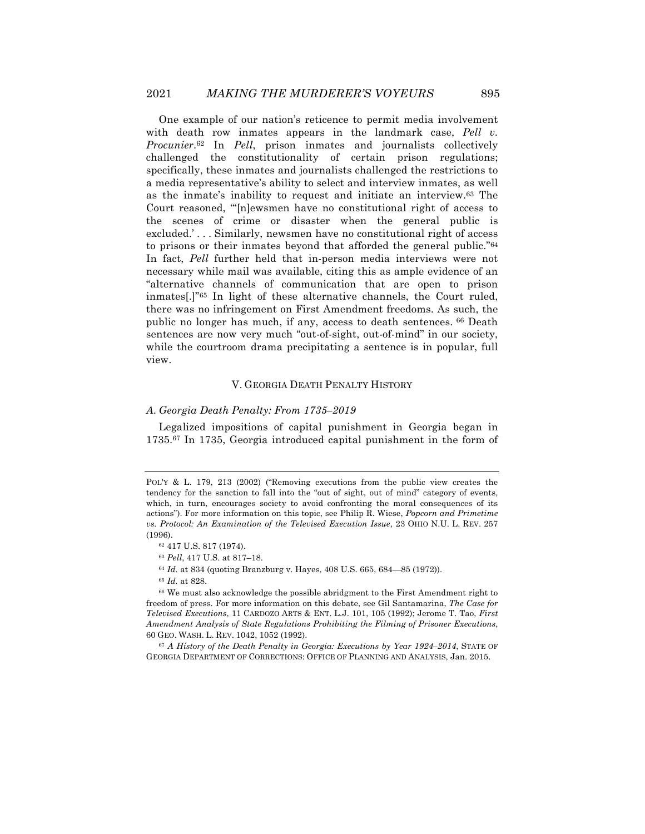One example of our nation's reticence to permit media involvement with death row inmates appears in the landmark case, *Pell v. Procunier*.62 In *Pell*, prison inmates and journalists collectively challenged the constitutionality of certain prison regulations; specifically, these inmates and journalists challenged the restrictions to a media representative's ability to select and interview inmates, as well as the inmate's inability to request and initiate an interview.63 The Court reasoned, "'[n]ewsmen have no constitutional right of access to the scenes of crime or disaster when the general public is excluded.' . . . Similarly, newsmen have no constitutional right of access to prisons or their inmates beyond that afforded the general public."64 In fact, *Pell* further held that in-person media interviews were not necessary while mail was available, citing this as ample evidence of an "alternative channels of communication that are open to prison inmates[.]"65 In light of these alternative channels, the Court ruled, there was no infringement on First Amendment freedoms. As such, the public no longer has much, if any, access to death sentences. <sup>66</sup> Death sentences are now very much "out-of-sight, out-of-mind" in our society, while the courtroom drama precipitating a sentence is in popular, full view.

#### V. GEORGIA DEATH PENALTY HISTORY

#### *A. Georgia Death Penalty: From 1735–2019*

Legalized impositions of capital punishment in Georgia began in 1735.67 In 1735, Georgia introduced capital punishment in the form of

<sup>64</sup> *Id.* at 834 (quoting Branzburg v. Hayes, 408 U.S. 665, 684—85 (1972)).

<sup>65</sup> *Id.* at 828.

<sup>66</sup> We must also acknowledge the possible abridgment to the First Amendment right to freedom of press. For more information on this debate, see Gil Santamarina, *The Case for Televised Executions*, 11 CARDOZO ARTS & ENT. L.J. 101, 105 (1992); Jerome T. Tao, *First Amendment Analysis of State Regulations Prohibiting the Filming of Prisoner Executions*, 60 GEO. WASH. L. REV. 1042, 1052 (1992).

<sup>67</sup> *A History of the Death Penalty in Georgia: Executions by Year 1924–2014*, STATE OF GEORGIA DEPARTMENT OF CORRECTIONS: OFFICE OF PLANNING AND ANALYSIS, Jan. 2015.

POL'Y & L. 179, 213 (2002) ("Removing executions from the public view creates the tendency for the sanction to fall into the "out of sight, out of mind" category of events, which, in turn, encourages society to avoid confronting the moral consequences of its actions"). For more information on this topic, see Philip R. Wiese, *Popcorn and Primetime vs. Protocol: An Examination of the Televised Execution Issue*, 23 OHIO N.U. L. REV. 257 (1996).

<sup>62</sup> 417 U.S. 817 (1974).

<sup>63</sup> *Pell*, 417 U.S. at 817–18.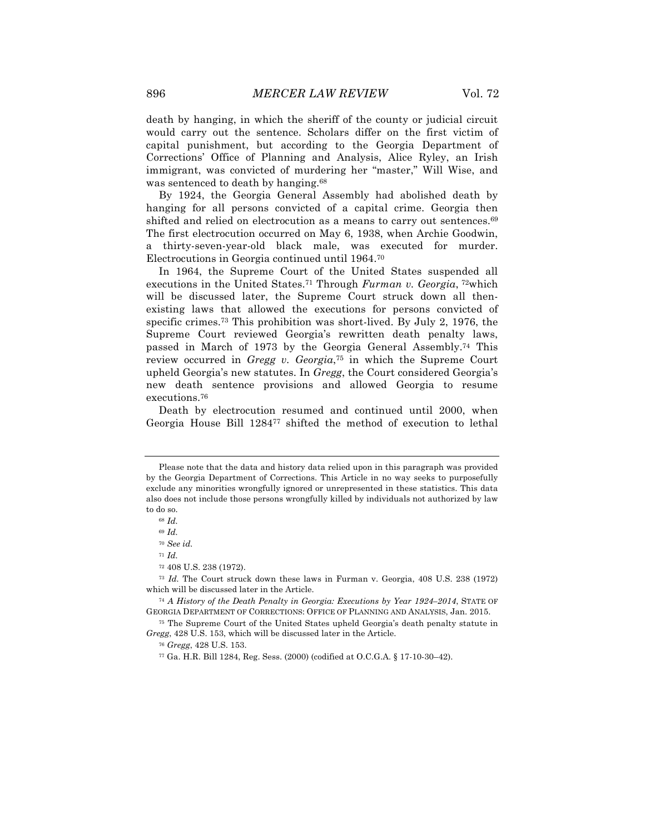death by hanging, in which the sheriff of the county or judicial circuit would carry out the sentence. Scholars differ on the first victim of capital punishment, but according to the Georgia Department of Corrections' Office of Planning and Analysis, Alice Ryley, an Irish immigrant, was convicted of murdering her "master," Will Wise, and was sentenced to death by hanging.<sup>68</sup>

By 1924, the Georgia General Assembly had abolished death by hanging for all persons convicted of a capital crime. Georgia then shifted and relied on electrocution as a means to carry out sentences.<sup>69</sup> The first electrocution occurred on May 6, 1938, when Archie Goodwin, a thirty-seven-year-old black male, was executed for murder. Electrocutions in Georgia continued until 1964.70

In 1964, the Supreme Court of the United States suspended all executions in the United States.71 Through *Furman v. Georgia*, 72which will be discussed later, the Supreme Court struck down all thenexisting laws that allowed the executions for persons convicted of specific crimes.73 This prohibition was short-lived. By July 2, 1976, the Supreme Court reviewed Georgia's rewritten death penalty laws, passed in March of 1973 by the Georgia General Assembly.74 This review occurred in *Gregg v. Georgia*,75 in which the Supreme Court upheld Georgia's new statutes. In *Gregg*, the Court considered Georgia's new death sentence provisions and allowed Georgia to resume executions.76

Death by electrocution resumed and continued until 2000, when Georgia House Bill 128477 shifted the method of execution to lethal

Please note that the data and history data relied upon in this paragraph was provided by the Georgia Department of Corrections. This Article in no way seeks to purposefully exclude any minorities wrongfully ignored or unrepresented in these statistics. This data also does not include those persons wrongfully killed by individuals not authorized by law to do so.

<sup>68</sup> *Id.*

<sup>69</sup> *Id.*

<sup>70</sup> *See id.*

<sup>71</sup> *Id.*

<sup>72</sup> 408 U.S. 238 (1972).

<sup>73</sup> *Id.* The Court struck down these laws in Furman v. Georgia, 408 U.S. 238 (1972) which will be discussed later in the Article.

<sup>74</sup> *A History of the Death Penalty in Georgia: Executions by Year 1924–2014*, STATE OF GEORGIA DEPARTMENT OF CORRECTIONS: OFFICE OF PLANNING AND ANALYSIS, Jan. 2015.

<sup>75</sup> The Supreme Court of the United States upheld Georgia's death penalty statute in *Gregg*, 428 U.S. 153, which will be discussed later in the Article.

<sup>76</sup> *Gregg*, 428 U.S. 153.

<sup>77</sup> Ga. H.R. Bill 1284, Reg. Sess. (2000) (codified at O.C.G.A. § 17-10-30–42).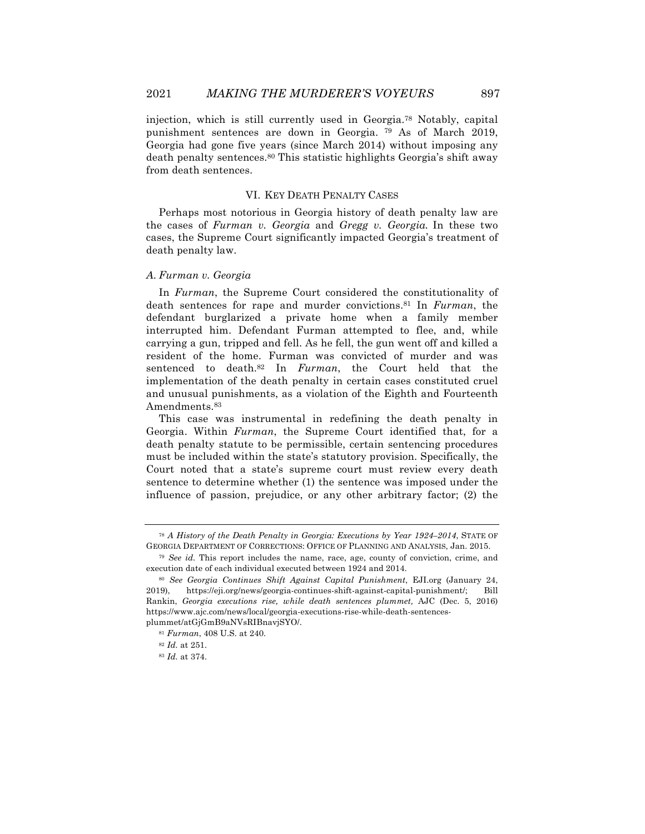injection, which is still currently used in Georgia.78 Notably, capital punishment sentences are down in Georgia. <sup>79</sup> As of March 2019, Georgia had gone five years (since March 2014) without imposing any death penalty sentences.80 This statistic highlights Georgia's shift away from death sentences.

#### VI. KEY DEATH PENALTY CASES

Perhaps most notorious in Georgia history of death penalty law are the cases of *Furman v. Georgia* and *Gregg v. Georgia.* In these two cases, the Supreme Court significantly impacted Georgia's treatment of death penalty law.

#### *A. Furman v. Georgia*

In *Furman*, the Supreme Court considered the constitutionality of death sentences for rape and murder convictions.81 In *Furman*, the defendant burglarized a private home when a family member interrupted him. Defendant Furman attempted to flee, and, while carrying a gun, tripped and fell. As he fell, the gun went off and killed a resident of the home. Furman was convicted of murder and was sentenced to death.82 In *Furman*, the Court held that the implementation of the death penalty in certain cases constituted cruel and unusual punishments, as a violation of the Eighth and Fourteenth Amendments.<sup>83</sup>

This case was instrumental in redefining the death penalty in Georgia. Within *Furman*, the Supreme Court identified that, for a death penalty statute to be permissible, certain sentencing procedures must be included within the state's statutory provision. Specifically, the Court noted that a state's supreme court must review every death sentence to determine whether (1) the sentence was imposed under the influence of passion, prejudice, or any other arbitrary factor; (2) the

<sup>78</sup> *A History of the Death Penalty in Georgia: Executions by Year 1924–2014*, STATE OF GEORGIA DEPARTMENT OF CORRECTIONS: OFFICE OF PLANNING AND ANALYSIS, Jan. 2015.

<sup>79</sup> *See id.* This report includes the name, race, age, county of conviction, crime, and execution date of each individual executed between 1924 and 2014.

<sup>80</sup> *See Georgia Continues Shift Against Capital Punishment*, EJI.org (January 24, 2019), https://eji.org/news/georgia-continues-shift-against-capital-punishment/; Bill Rankin, *Georgia executions rise, while death sentences plummet,* AJC (Dec. 5, 2016) https://www.ajc.com/news/local/georgia-executions-rise-while-death-sentencesplummet/atGjGmB9aNVsRIBnavjSYO/.

<sup>81</sup> *Furman*, 408 U.S. at 240.

<sup>82</sup> *Id.* at 251.

<sup>83</sup> *Id.* at 374.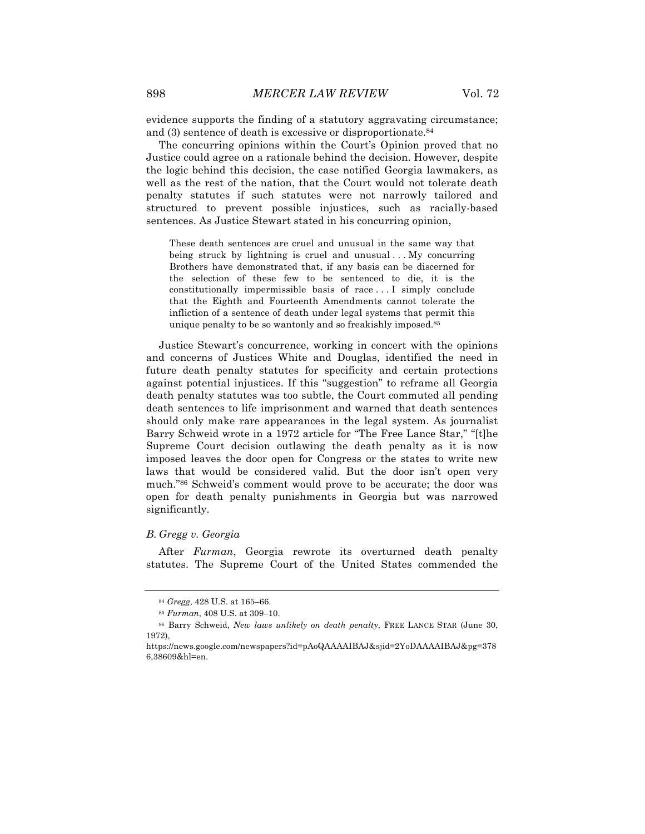evidence supports the finding of a statutory aggravating circumstance; and (3) sentence of death is excessive or disproportionate.84

The concurring opinions within the Court's Opinion proved that no Justice could agree on a rationale behind the decision. However, despite the logic behind this decision, the case notified Georgia lawmakers, as well as the rest of the nation, that the Court would not tolerate death penalty statutes if such statutes were not narrowly tailored and structured to prevent possible injustices, such as racially-based sentences. As Justice Stewart stated in his concurring opinion,

These death sentences are cruel and unusual in the same way that being struck by lightning is cruel and unusual ... My concurring Brothers have demonstrated that, if any basis can be discerned for the selection of these few to be sentenced to die, it is the constitutionally impermissible basis of race . . . I simply conclude that the Eighth and Fourteenth Amendments cannot tolerate the infliction of a sentence of death under legal systems that permit this unique penalty to be so wantonly and so freakishly imposed.<sup>85</sup>

Justice Stewart's concurrence, working in concert with the opinions and concerns of Justices White and Douglas, identified the need in future death penalty statutes for specificity and certain protections against potential injustices. If this "suggestion" to reframe all Georgia death penalty statutes was too subtle, the Court commuted all pending death sentences to life imprisonment and warned that death sentences should only make rare appearances in the legal system. As journalist Barry Schweid wrote in a 1972 article for "The Free Lance Star," "[t]he Supreme Court decision outlawing the death penalty as it is now imposed leaves the door open for Congress or the states to write new laws that would be considered valid. But the door isn't open very much."86 Schweid's comment would prove to be accurate; the door was open for death penalty punishments in Georgia but was narrowed significantly.

#### *B. Gregg v. Georgia*

After *Furman*, Georgia rewrote its overturned death penalty statutes. The Supreme Court of the United States commended the

<sup>84</sup> *Gregg*, 428 U.S. at 165–66.

<sup>85</sup> *Furman*, 408 U.S. at 309–10.

<sup>86</sup> Barry Schweid, *New laws unlikely on death penalty*, FREE LANCE STAR (June 30, 1972),

https://news.google.com/newspapers?id=pAoQAAAAIBAJ&sjid=2YoDAAAAIBAJ&pg=378 6,38609&hl=en.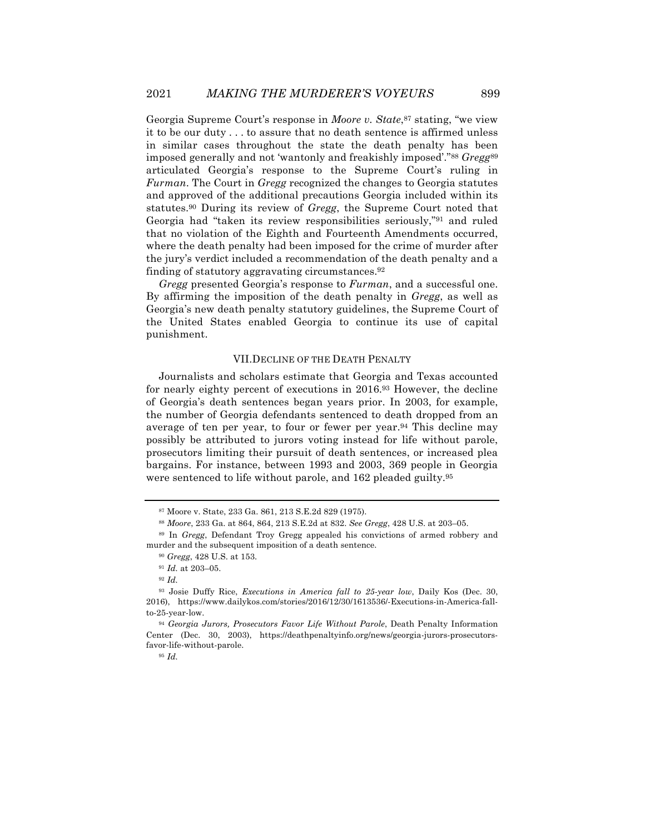Georgia Supreme Court's response in *Moore v. State*,87 stating, "we view it to be our duty . . . to assure that no death sentence is affirmed unless in similar cases throughout the state the death penalty has been imposed generally and not 'wantonly and freakishly imposed'."88 *Gregg*<sup>89</sup> articulated Georgia's response to the Supreme Court's ruling in *Furman*. The Court in *Gregg* recognized the changes to Georgia statutes and approved of the additional precautions Georgia included within its statutes.90 During its review of *Gregg*, the Supreme Court noted that Georgia had "taken its review responsibilities seriously,"91 and ruled that no violation of the Eighth and Fourteenth Amendments occurred, where the death penalty had been imposed for the crime of murder after the jury's verdict included a recommendation of the death penalty and a finding of statutory aggravating circumstances.92

*Gregg* presented Georgia's response to *Furman*, and a successful one. By affirming the imposition of the death penalty in *Gregg*, as well as Georgia's new death penalty statutory guidelines, the Supreme Court of the United States enabled Georgia to continue its use of capital punishment.

#### VII.DECLINE OF THE DEATH PENALTY

Journalists and scholars estimate that Georgia and Texas accounted for nearly eighty percent of executions in 2016.93 However, the decline of Georgia's death sentences began years prior. In 2003, for example, the number of Georgia defendants sentenced to death dropped from an average of ten per year, to four or fewer per year.<sup>94</sup> This decline may possibly be attributed to jurors voting instead for life without parole, prosecutors limiting their pursuit of death sentences, or increased plea bargains. For instance, between 1993 and 2003, 369 people in Georgia were sentenced to life without parole, and 162 pleaded guilty.<sup>95</sup>

<sup>95</sup> *Id.*

<sup>87</sup> Moore v. State, 233 Ga. 861, 213 S.E.2d 829 (1975).

<sup>88</sup> *Moore*, 233 Ga. at 864, 864, 213 S.E.2d at 832. *See Gregg*, 428 U.S. at 203–05.

<sup>89</sup> In *Gregg*, Defendant Troy Gregg appealed his convictions of armed robbery and murder and the subsequent imposition of a death sentence.

<sup>90</sup> *Gregg*, 428 U.S. at 153.

<sup>91</sup> *Id.* at 203–05.

<sup>92</sup> *Id.*

<sup>93</sup> Josie Duffy Rice, *Executions in America fall to 25-year low*, Daily Kos (Dec. 30, 2016), https://www.dailykos.com/stories/2016/12/30/1613536/-Executions-in-America-fallto-25-year-low.

<sup>94</sup> *Georgia Jurors, Prosecutors Favor Life Without Parole*, Death Penalty Information Center (Dec. 30, 2003), https://deathpenaltyinfo.org/news/georgia-jurors-prosecutorsfavor-life-without-parole.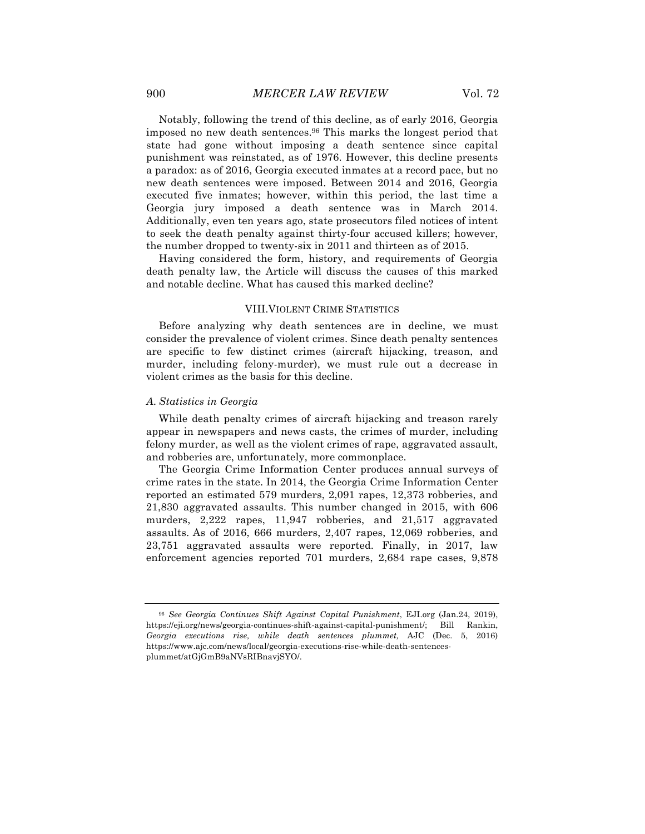Notably, following the trend of this decline, as of early 2016, Georgia imposed no new death sentences.96 This marks the longest period that state had gone without imposing a death sentence since capital punishment was reinstated, as of 1976. However, this decline presents a paradox: as of 2016, Georgia executed inmates at a record pace, but no new death sentences were imposed. Between 2014 and 2016, Georgia executed five inmates; however, within this period, the last time a Georgia jury imposed a death sentence was in March 2014. Additionally, even ten years ago, state prosecutors filed notices of intent to seek the death penalty against thirty-four accused killers; however, the number dropped to twenty-six in 2011 and thirteen as of 2015.

Having considered the form, history, and requirements of Georgia death penalty law, the Article will discuss the causes of this marked and notable decline. What has caused this marked decline?

#### VIII.VIOLENT CRIME STATISTICS

Before analyzing why death sentences are in decline, we must consider the prevalence of violent crimes. Since death penalty sentences are specific to few distinct crimes (aircraft hijacking, treason, and murder, including felony-murder), we must rule out a decrease in violent crimes as the basis for this decline.

#### *A. Statistics in Georgia*

While death penalty crimes of aircraft hijacking and treason rarely appear in newspapers and news casts, the crimes of murder, including felony murder, as well as the violent crimes of rape, aggravated assault, and robberies are, unfortunately, more commonplace.

The Georgia Crime Information Center produces annual surveys of crime rates in the state. In 2014, the Georgia Crime Information Center reported an estimated 579 murders, 2,091 rapes, 12,373 robberies, and 21,830 aggravated assaults. This number changed in 2015, with 606 murders, 2,222 rapes, 11,947 robberies, and 21,517 aggravated assaults. As of 2016, 666 murders, 2,407 rapes, 12,069 robberies, and 23,751 aggravated assaults were reported. Finally, in 2017, law enforcement agencies reported 701 murders, 2,684 rape cases, 9,878

<sup>96</sup> *See Georgia Continues Shift Against Capital Punishment*, EJI.org (Jan.24, 2019), https://eji.org/news/georgia-continues-shift-against-capital-punishment/; Bill Rankin, *Georgia executions rise, while death sentences plummet,* AJC (Dec. 5, 2016) https://www.ajc.com/news/local/georgia-executions-rise-while-death-sentencesplummet/atGjGmB9aNVsRIBnavjSYO/.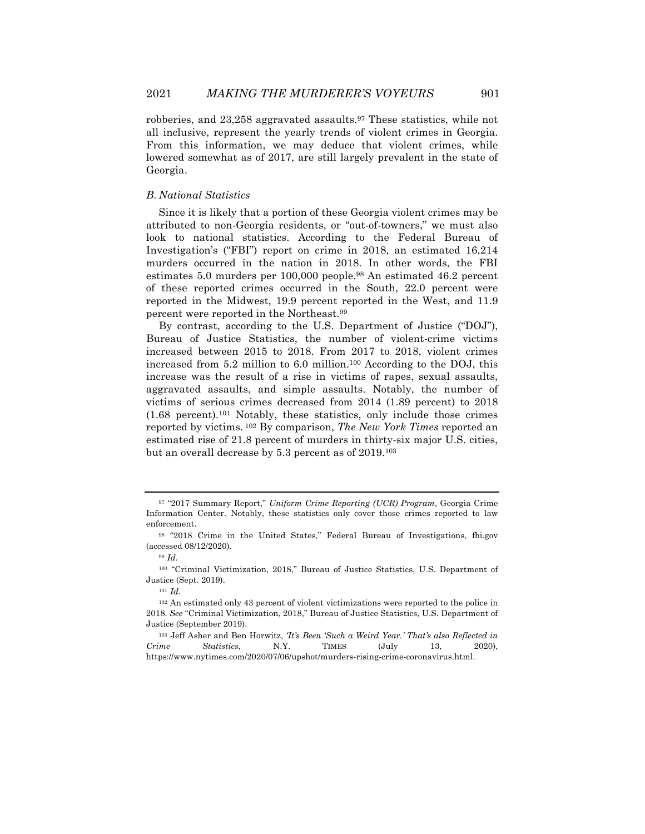robberies, and 23,258 aggravated assaults.97 These statistics, while not all inclusive, represent the yearly trends of violent crimes in Georgia. From this information, we may deduce that violent crimes, while lowered somewhat as of 2017, are still largely prevalent in the state of Georgia.

#### *B. National Statistics*

Since it is likely that a portion of these Georgia violent crimes may be attributed to non-Georgia residents, or "out-of-towners," we must also look to national statistics. According to the Federal Bureau of Investigation's ("FBI") report on crime in 2018, an estimated 16,214 murders occurred in the nation in 2018. In other words, the FBI estimates 5.0 murders per 100,000 people.98 An estimated 46.2 percent of these reported crimes occurred in the South, 22.0 percent were reported in the Midwest, 19.9 percent reported in the West, and 11.9 percent were reported in the Northeast.99

By contrast, according to the U.S. Department of Justice ("DOJ"), Bureau of Justice Statistics, the number of violent-crime victims increased between 2015 to 2018. From 2017 to 2018, violent crimes increased from  $5.2$  million to  $6.0$  million.<sup>100</sup> According to the DOJ, this increase was the result of a rise in victims of rapes, sexual assaults, aggravated assaults, and simple assaults. Notably, the number of victims of serious crimes decreased from 2014 (1.89 percent) to 2018  $(1.68$  percent).<sup>101</sup> Notably, these statistics, only include those crimes reported by victims. <sup>102</sup> By comparison, *The New York Times* reported an estimated rise of 21.8 percent of murders in thirty-six major U.S. cities, but an overall decrease by 5.3 percent as of 2019.103

<sup>97</sup> "2017 Summary Report," *Uniform Crime Reporting (UCR) Program*, Georgia Crime Information Center. Notably, these statistics only cover those crimes reported to law enforcement.

<sup>98</sup> "2018 Crime in the United States," Federal Bureau of Investigations, fbi.gov (accessed 08/12/2020).

<sup>99</sup> *Id.*

<sup>100</sup> "Criminal Victimization, 2018," Bureau of Justice Statistics, U.S. Department of Justice (Sept. 2019).

<sup>101</sup> *Id.*

<sup>102</sup> An estimated only 43 percent of violent victimizations were reported to the police in 2018. *See* "Criminal Victimization, 2018," Bureau of Justice Statistics, U.S. Department of Justice (September 2019).

<sup>103</sup> Jeff Asher and Ben Horwitz, *'It's Been 'Such a Weird Year.' That's also Reflected in Crime Statistics*, N.Y. TIMES (July 13, 2020), https://www.nytimes.com/2020/07/06/upshot/murders-rising-crime-coronavirus.html.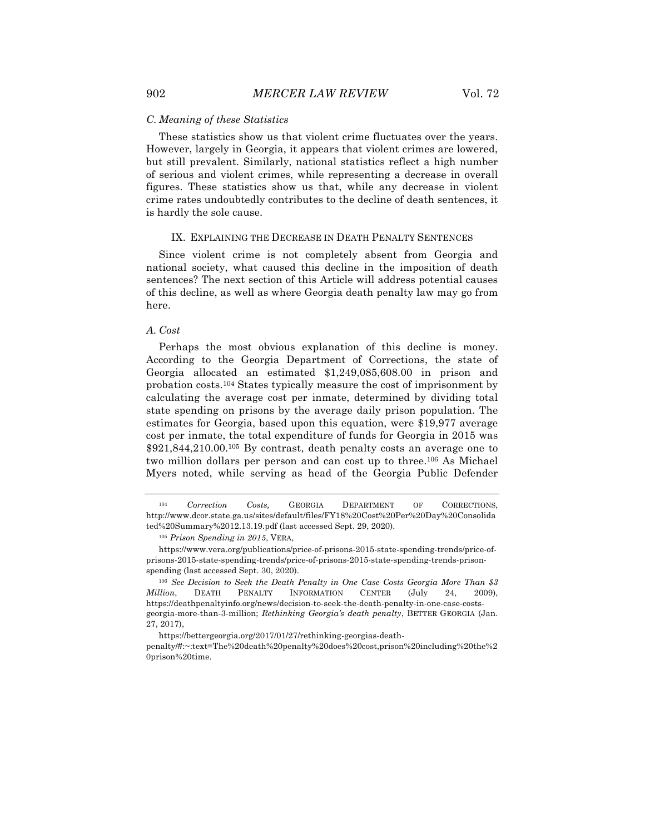#### *C. Meaning of these Statistics*

These statistics show us that violent crime fluctuates over the years. However, largely in Georgia, it appears that violent crimes are lowered, but still prevalent. Similarly, national statistics reflect a high number of serious and violent crimes, while representing a decrease in overall figures. These statistics show us that, while any decrease in violent crime rates undoubtedly contributes to the decline of death sentences, it is hardly the sole cause.

#### IX. EXPLAINING THE DECREASE IN DEATH PENALTY SENTENCES

Since violent crime is not completely absent from Georgia and national society, what caused this decline in the imposition of death sentences? The next section of this Article will address potential causes of this decline, as well as where Georgia death penalty law may go from here.

#### *A. Cost*

Perhaps the most obvious explanation of this decline is money. According to the Georgia Department of Corrections, the state of Georgia allocated an estimated \$1,249,085,608.00 in prison and probation costs.104 States typically measure the cost of imprisonment by calculating the average cost per inmate, determined by dividing total state spending on prisons by the average daily prison population. The estimates for Georgia, based upon this equation, were \$19,977 average cost per inmate, the total expenditure of funds for Georgia in 2015 was \$921,844,210.00.105 By contrast, death penalty costs an average one to two million dollars per person and can cost up to three.106 As Michael Myers noted, while serving as head of the Georgia Public Defender

https://bettergeorgia.org/2017/01/27/rethinking-georgias-death-

<sup>104</sup> *Correction Costs,* GEORGIA DEPARTMENT OF CORRECTIONS, http://www.dcor.state.ga.us/sites/default/files/FY18%20Cost%20Per%20Day%20Consolida ted%20Summary%2012.13.19.pdf (last accessed Sept. 29, 2020).

<sup>105</sup> *Prison Spending in 2015*, VERA,

https://www.vera.org/publications/price-of-prisons-2015-state-spending-trends/price-ofprisons-2015-state-spending-trends/price-of-prisons-2015-state-spending-trends-prisonspending (last accessed Sept. 30, 2020).

<sup>106</sup> *See Decision to Seek the Death Penalty in One Case Costs Georgia More Than \$3 Million*, DEATH PENALTY INFORMATION CENTER (July 24, 2009), https://deathpenaltyinfo.org/news/decision-to-seek-the-death-penalty-in-one-case-costsgeorgia-more-than-3-million; *Rethinking Georgia's death penalty*, BETTER GEORGIA (Jan. 27, 2017),

penalty/#:~:text=The%20death%20penalty%20does%20cost,prison%20including%20the%2 0prison%20time.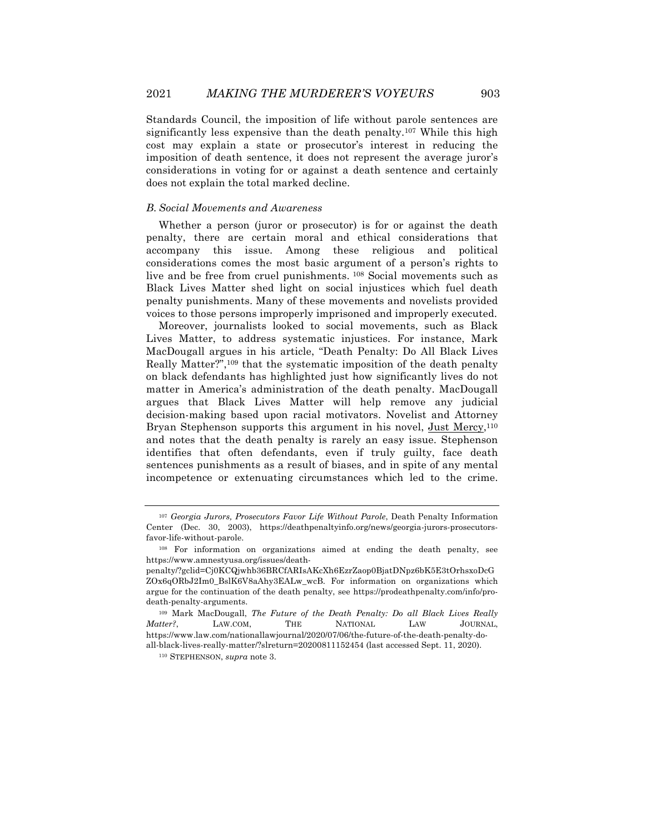Standards Council, the imposition of life without parole sentences are significantly less expensive than the death penalty.107 While this high cost may explain a state or prosecutor's interest in reducing the imposition of death sentence, it does not represent the average juror's considerations in voting for or against a death sentence and certainly does not explain the total marked decline.

#### *B. Social Movements and Awareness*

Whether a person (juror or prosecutor) is for or against the death penalty, there are certain moral and ethical considerations that accompany this issue. Among these religious and political considerations comes the most basic argument of a person's rights to live and be free from cruel punishments. <sup>108</sup> Social movements such as Black Lives Matter shed light on social injustices which fuel death penalty punishments. Many of these movements and novelists provided voices to those persons improperly imprisoned and improperly executed.

Moreover, journalists looked to social movements, such as Black Lives Matter, to address systematic injustices. For instance, Mark MacDougall argues in his article, "Death Penalty: Do All Black Lives Really Matter?",109 that the systematic imposition of the death penalty on black defendants has highlighted just how significantly lives do not matter in America's administration of the death penalty. MacDougall argues that Black Lives Matter will help remove any judicial decision-making based upon racial motivators. Novelist and Attorney Bryan Stephenson supports this argument in his novel, Just Mercy,<sup>110</sup> and notes that the death penalty is rarely an easy issue. Stephenson identifies that often defendants, even if truly guilty, face death sentences punishments as a result of biases, and in spite of any mental incompetence or extenuating circumstances which led to the crime.

<sup>107</sup> *Georgia Jurors, Prosecutors Favor Life Without Parole*, Death Penalty Information Center (Dec. 30, 2003), https://deathpenaltyinfo.org/news/georgia-jurors-prosecutorsfavor-life-without-parole.

<sup>108</sup> For information on organizations aimed at ending the death penalty, see https://www.amnestyusa.org/issues/death-

penalty/?gclid=Cj0KCQjwhb36BRCfARIsAKcXh6EzrZaop0BjatDNpz6bK5E3tOrhsxoDcG ZOx6qORbJ2Im0\_BslK6V8aAhy3EALw\_wcB. For information on organizations which argue for the continuation of the death penalty, see https://prodeathpenalty.com/info/prodeath-penalty-arguments.

<sup>109</sup> Mark MacDougall, *The Future of the Death Penalty: Do all Black Lives Really Matter?*, LAW.COM, THE NATIONAL LAW JOURNAL, https://www.law.com/nationallawjournal/2020/07/06/the-future-of-the-death-penalty-doall-black-lives-really-matter/?slreturn=20200811152454 (last accessed Sept. 11, 2020).

<sup>110</sup> STEPHENSON, *supra* note 3.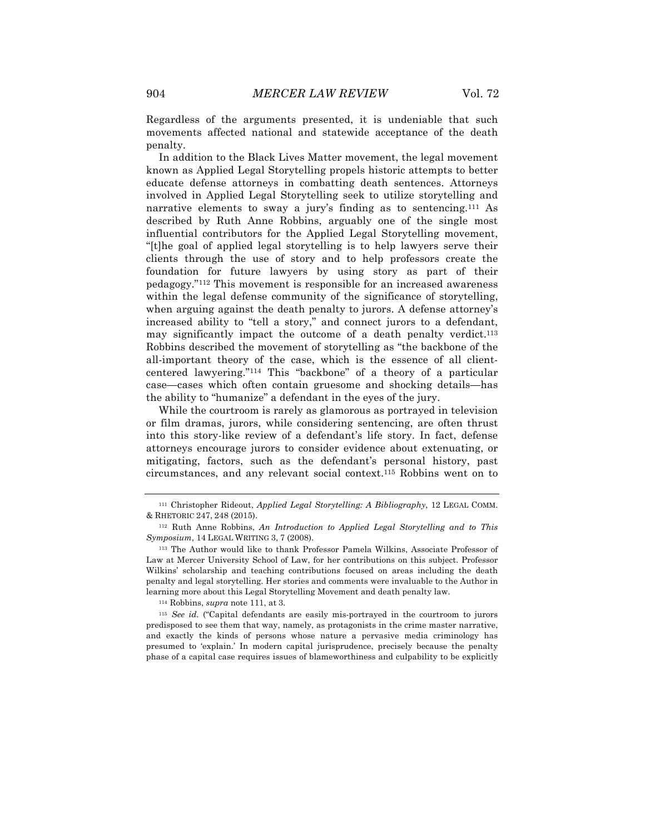Regardless of the arguments presented, it is undeniable that such movements affected national and statewide acceptance of the death penalty.

In addition to the Black Lives Matter movement, the legal movement known as Applied Legal Storytelling propels historic attempts to better educate defense attorneys in combatting death sentences. Attorneys involved in Applied Legal Storytelling seek to utilize storytelling and narrative elements to sway a jury's finding as to sentencing.111 As described by Ruth Anne Robbins, arguably one of the single most influential contributors for the Applied Legal Storytelling movement, "[t]he goal of applied legal storytelling is to help lawyers serve their clients through the use of story and to help professors create the foundation for future lawyers by using story as part of their pedagogy."112 This movement is responsible for an increased awareness within the legal defense community of the significance of storytelling, when arguing against the death penalty to jurors. A defense attorney's increased ability to "tell a story," and connect jurors to a defendant, may significantly impact the outcome of a death penalty verdict.<sup>113</sup> Robbins described the movement of storytelling as "the backbone of the all-important theory of the case, which is the essence of all clientcentered lawyering."114 This "backbone" of a theory of a particular case—cases which often contain gruesome and shocking details—has the ability to "humanize" a defendant in the eyes of the jury.

While the courtroom is rarely as glamorous as portrayed in television or film dramas, jurors, while considering sentencing, are often thrust into this story-like review of a defendant's life story. In fact, defense attorneys encourage jurors to consider evidence about extenuating, or mitigating, factors, such as the defendant's personal history, past circumstances, and any relevant social context.115 Robbins went on to

<sup>114</sup> Robbins, *supra* note 111, at 3.

<sup>115</sup> *See id.* ("Capital defendants are easily mis-portrayed in the courtroom to jurors predisposed to see them that way, namely, as protagonists in the crime master narrative, and exactly the kinds of persons whose nature a pervasive media criminology has presumed to 'explain.' In modern capital jurisprudence, precisely because the penalty phase of a capital case requires issues of blameworthiness and culpability to be explicitly

<sup>111</sup> Christopher Rideout, *Applied Legal Storytelling: A Bibliography*, 12 LEGAL COMM. & RHETORIC 247, 248 (2015).

<sup>112</sup> Ruth Anne Robbins, *An Introduction to Applied Legal Storytelling and to This Symposium*, 14 LEGAL WRITING 3, 7 (2008).

<sup>113</sup> The Author would like to thank Professor Pamela Wilkins, Associate Professor of Law at Mercer University School of Law, for her contributions on this subject. Professor Wilkins' scholarship and teaching contributions focused on areas including the death penalty and legal storytelling. Her stories and comments were invaluable to the Author in learning more about this Legal Storytelling Movement and death penalty law.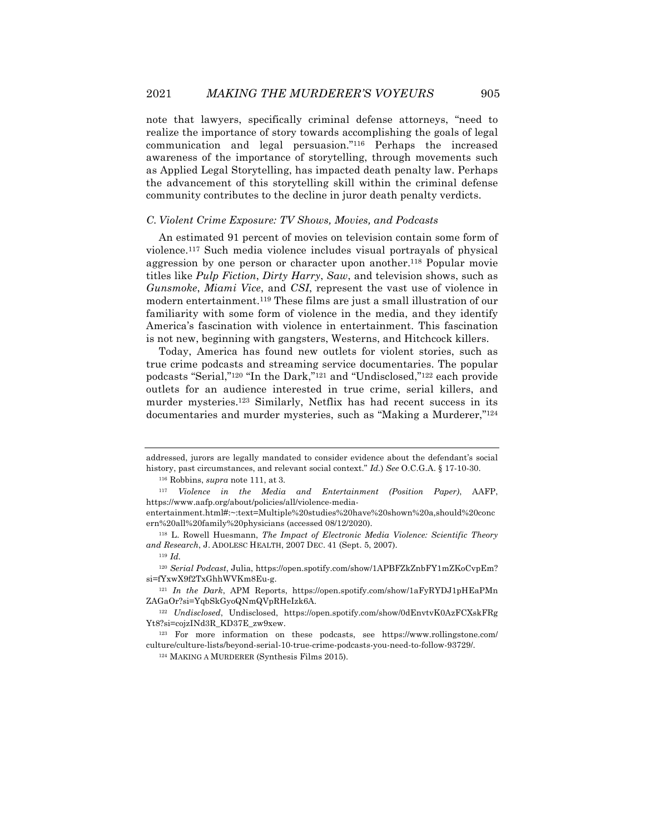note that lawyers, specifically criminal defense attorneys, "need to realize the importance of story towards accomplishing the goals of legal communication and legal persuasion."116 Perhaps the increased awareness of the importance of storytelling, through movements such as Applied Legal Storytelling, has impacted death penalty law. Perhaps the advancement of this storytelling skill within the criminal defense community contributes to the decline in juror death penalty verdicts.

#### *C. Violent Crime Exposure: TV Shows, Movies, and Podcasts*

An estimated 91 percent of movies on television contain some form of violence.117 Such media violence includes visual portrayals of physical aggression by one person or character upon another.118 Popular movie titles like *Pulp Fiction*, *Dirty Harry*, *Saw*, and television shows, such as *Gunsmoke*, *Miami Vice*, and *CSI*, represent the vast use of violence in modern entertainment.119 These films are just a small illustration of our familiarity with some form of violence in the media, and they identify America's fascination with violence in entertainment. This fascination is not new, beginning with gangsters, Westerns, and Hitchcock killers.

Today, America has found new outlets for violent stories, such as true crime podcasts and streaming service documentaries. The popular podcasts "Serial,"120 "In the Dark,"121 and "Undisclosed,"122 each provide outlets for an audience interested in true crime, serial killers, and murder mysteries.123 Similarly, Netflix has had recent success in its documentaries and murder mysteries, such as "Making a Murderer,"124

addressed, jurors are legally mandated to consider evidence about the defendant's social history, past circumstances, and relevant social context." *Id.*) *See* O.C.G.A. § 17-10-30.

<sup>116</sup> Robbins, *supra* note 111, at 3.

<sup>117</sup> *Violence in the Media and Entertainment (Position Paper)*, AAFP, https://www.aafp.org/about/policies/all/violence-media-

entertainment.html#:~:text=Multiple%20studies%20have%20shown%20a,should%20conc ern%20all%20family%20physicians (accessed 08/12/2020).

<sup>118</sup> L. Rowell Huesmann, *The Impact of Electronic Media Violence: Scientific Theory and Research*, J. ADOLESC HEALTH, 2007 DEC. 41 (Sept. 5, 2007).

<sup>119</sup> *Id.*

<sup>120</sup> *Serial Podcast*, Julia, https://open.spotify.com/show/1APBFZkZnbFY1mZKoCvpEm? si=fYxwX9f2TxGhhWVKm8Eu-g.

<sup>121</sup> *In the Dark*, APM Reports, https://open.spotify.com/show/1aFyRYDJ1pHEaPMn ZAGaOr?si=YqbSkGyoQNmQVpRHeIzk6A.

<sup>122</sup> *Undisclosed*, Undisclosed, https://open.spotify.com/show/0dEnvtvK0AzFCXskFRg Yt8?si=cojzINd3R\_KD37E\_zw9xew.

<sup>123</sup> For more information on these podcasts, see https://www.rollingstone.com/ culture/culture-lists/beyond-serial-10-true-crime-podcasts-you-need-to-follow-93729/.

<sup>124</sup> MAKING A MURDERER (Synthesis Films 2015).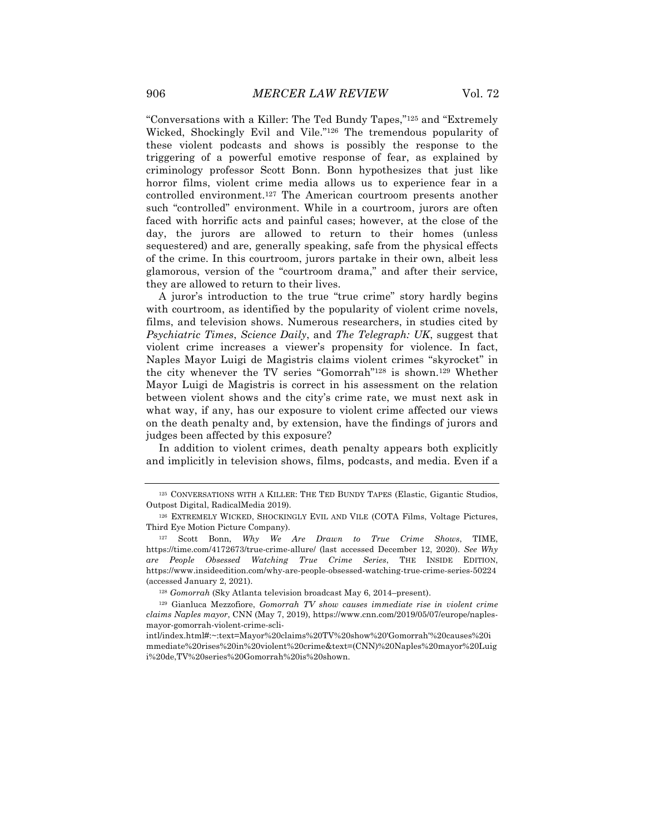"Conversations with a Killer: The Ted Bundy Tapes,"125 and "Extremely Wicked, Shockingly Evil and Vile."126 The tremendous popularity of these violent podcasts and shows is possibly the response to the triggering of a powerful emotive response of fear, as explained by criminology professor Scott Bonn. Bonn hypothesizes that just like horror films, violent crime media allows us to experience fear in a controlled environment.127 The American courtroom presents another such "controlled" environment. While in a courtroom, jurors are often faced with horrific acts and painful cases; however, at the close of the day, the jurors are allowed to return to their homes (unless sequestered) and are, generally speaking, safe from the physical effects of the crime. In this courtroom, jurors partake in their own, albeit less glamorous, version of the "courtroom drama," and after their service, they are allowed to return to their lives.

A juror's introduction to the true "true crime" story hardly begins with courtroom, as identified by the popularity of violent crime novels, films, and television shows. Numerous researchers, in studies cited by *Psychiatric Times*, *Science Daily*, and *The Telegraph: UK*, suggest that violent crime increases a viewer's propensity for violence. In fact, Naples Mayor Luigi de Magistris claims violent crimes "skyrocket" in the city whenever the TV series "Gomorrah"128 is shown.129 Whether Mayor Luigi de Magistris is correct in his assessment on the relation between violent shows and the city's crime rate, we must next ask in what way, if any, has our exposure to violent crime affected our views on the death penalty and, by extension, have the findings of jurors and judges been affected by this exposure?

In addition to violent crimes, death penalty appears both explicitly and implicitly in television shows, films, podcasts, and media. Even if a

<sup>125</sup> CONVERSATIONS WITH A KILLER: THE TED BUNDY TAPES (Elastic, Gigantic Studios, Outpost Digital, RadicalMedia 2019).

<sup>126</sup> EXTREMELY WICKED, SHOCKINGLY EVIL AND VILE (COTA Films, Voltage Pictures, Third Eye Motion Picture Company).

<sup>127</sup> Scott Bonn, *Why We Are Drawn to True Crime Shows*, TIME, https://time.com/4172673/true-crime-allure/ (last accessed December 12, 2020). *See Why are People Obsessed Watching True Crime Series*, THE INSIDE EDITION, https://www.insideedition.com/why-are-people-obsessed-watching-true-crime-series-50224 (accessed January 2, 2021).

<sup>128</sup> *Gomorrah* (Sky Atlanta television broadcast May 6, 2014–present).

<sup>129</sup> Gianluca Mezzofiore, *Gomorrah TV show causes immediate rise in violent crime claims Naples mayor*, CNN (May 7, 2019), https://www.cnn.com/2019/05/07/europe/naplesmayor-gomorrah-violent-crime-scli-

intl/index.html#:~:text=Mayor%20claims%20TV%20show%20'Gomorrah'%20causes%20i mmediate%20rises%20in%20violent%20crime&text=(CNN)%20Naples%20mayor%20Luig i%20de,TV%20series%20Gomorrah%20is%20shown.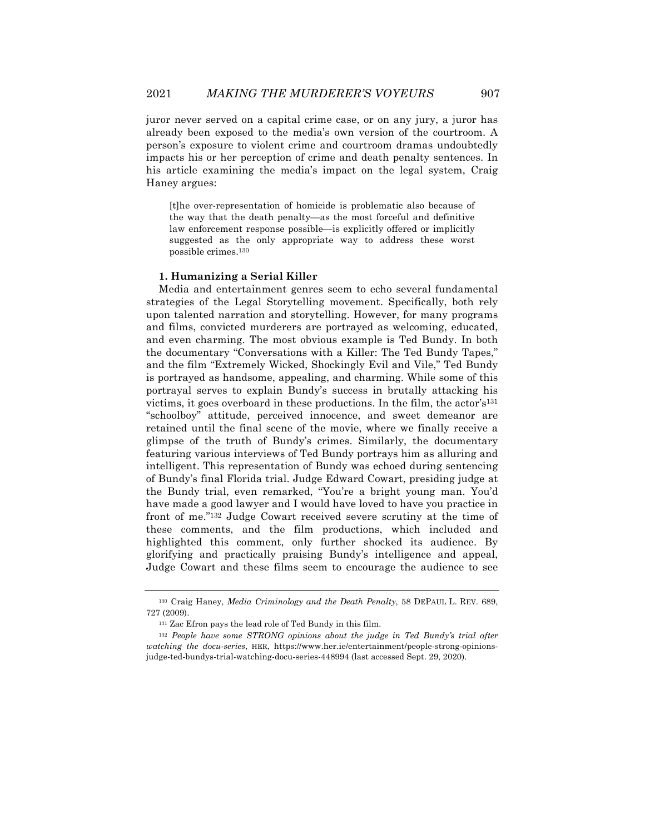juror never served on a capital crime case, or on any jury, a juror has already been exposed to the media's own version of the courtroom. A person's exposure to violent crime and courtroom dramas undoubtedly impacts his or her perception of crime and death penalty sentences. In his article examining the media's impact on the legal system, Craig Haney argues:

[t]he over-representation of homicide is problematic also because of the way that the death penalty—as the most forceful and definitive law enforcement response possible—is explicitly offered or implicitly suggested as the only appropriate way to address these worst possible crimes.130

#### **1. Humanizing a Serial Killer**

Media and entertainment genres seem to echo several fundamental strategies of the Legal Storytelling movement. Specifically, both rely upon talented narration and storytelling. However, for many programs and films, convicted murderers are portrayed as welcoming, educated, and even charming. The most obvious example is Ted Bundy. In both the documentary "Conversations with a Killer: The Ted Bundy Tapes," and the film "Extremely Wicked, Shockingly Evil and Vile," Ted Bundy is portrayed as handsome, appealing, and charming. While some of this portrayal serves to explain Bundy's success in brutally attacking his victims, it goes overboard in these productions. In the film, the actor's<sup>131</sup> "schoolboy" attitude, perceived innocence, and sweet demeanor are retained until the final scene of the movie, where we finally receive a glimpse of the truth of Bundy's crimes. Similarly, the documentary featuring various interviews of Ted Bundy portrays him as alluring and intelligent. This representation of Bundy was echoed during sentencing of Bundy's final Florida trial. Judge Edward Cowart, presiding judge at the Bundy trial, even remarked, "You're a bright young man. You'd have made a good lawyer and I would have loved to have you practice in front of me."132 Judge Cowart received severe scrutiny at the time of these comments, and the film productions, which included and highlighted this comment, only further shocked its audience. By glorifying and practically praising Bundy's intelligence and appeal, Judge Cowart and these films seem to encourage the audience to see

<sup>130</sup> Craig Haney, *Media Criminology and the Death Penalty*, 58 DEPAUL L. REV. 689, 727 (2009).

<sup>131</sup> Zac Efron pays the lead role of Ted Bundy in this film.

<sup>&</sup>lt;sup>132</sup> People have some STRONG opinions about the judge in Ted Bundy's trial after *watching the docu-series*, HER, https://www.her.ie/entertainment/people-strong-opinionsjudge-ted-bundys-trial-watching-docu-series-448994 (last accessed Sept. 29, 2020).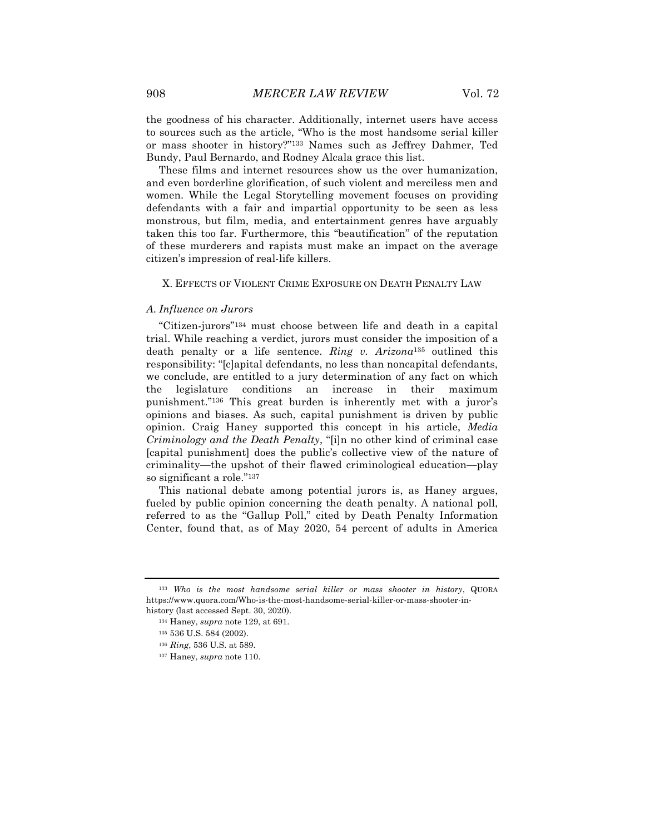the goodness of his character. Additionally, internet users have access to sources such as the article, "Who is the most handsome serial killer or mass shooter in history?"133 Names such as Jeffrey Dahmer, Ted Bundy, Paul Bernardo, and Rodney Alcala grace this list.

These films and internet resources show us the over humanization, and even borderline glorification, of such violent and merciless men and women. While the Legal Storytelling movement focuses on providing defendants with a fair and impartial opportunity to be seen as less monstrous, but film, media, and entertainment genres have arguably taken this too far. Furthermore, this "beautification" of the reputation of these murderers and rapists must make an impact on the average citizen's impression of real-life killers.

#### X. EFFECTS OF VIOLENT CRIME EXPOSURE ON DEATH PENALTY LAW

#### *A. Influence on Jurors*

"Citizen-jurors"134 must choose between life and death in a capital trial. While reaching a verdict, jurors must consider the imposition of a death penalty or a life sentence. *Ring v. Arizona*<sup>135</sup> outlined this responsibility: "[c]apital defendants, no less than noncapital defendants, we conclude, are entitled to a jury determination of any fact on which the legislature conditions an increase in their maximum punishment."136 This great burden is inherently met with a juror's opinions and biases. As such, capital punishment is driven by public opinion. Craig Haney supported this concept in his article, *Media Criminology and the Death Penalty*, "[i]n no other kind of criminal case [capital punishment] does the public's collective view of the nature of criminality—the upshot of their flawed criminological education—play so significant a role."137

This national debate among potential jurors is, as Haney argues, fueled by public opinion concerning the death penalty. A national poll, referred to as the "Gallup Poll," cited by Death Penalty Information Center, found that, as of May 2020, 54 percent of adults in America

<sup>133</sup> *Who is the most handsome serial killer or mass shooter in history*, QUORA https://www.quora.com/Who-is-the-most-handsome-serial-killer-or-mass-shooter-inhistory (last accessed Sept. 30, 2020).

<sup>134</sup> Haney, *supra* note 129, at 691.

<sup>135</sup> 536 U.S. 584 (2002).

<sup>136</sup> *Ring*, 536 U.S. at 589.

<sup>137</sup> Haney, *supra* note 110.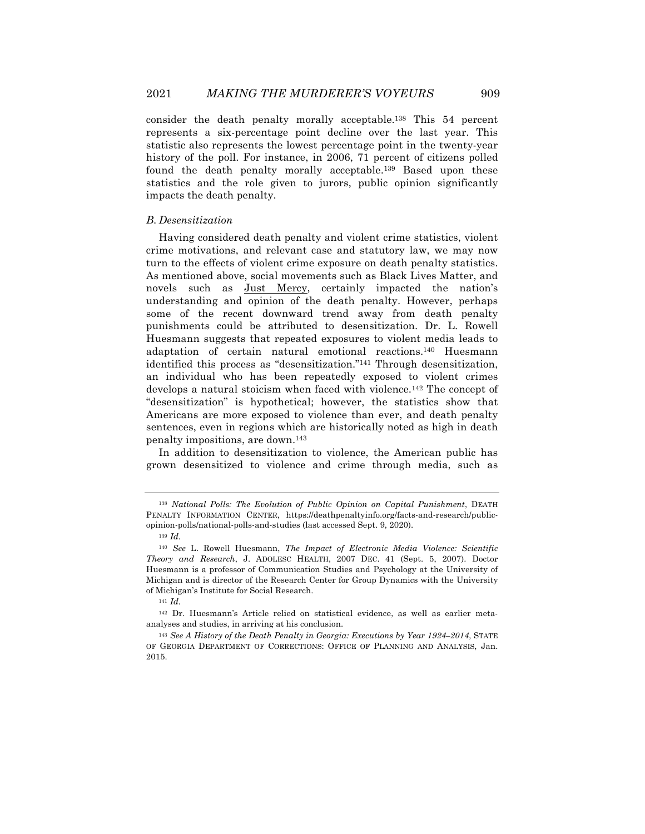consider the death penalty morally acceptable.138 This 54 percent represents a six-percentage point decline over the last year. This statistic also represents the lowest percentage point in the twenty-year history of the poll. For instance, in 2006, 71 percent of citizens polled found the death penalty morally acceptable.139 Based upon these statistics and the role given to jurors, public opinion significantly impacts the death penalty.

#### *B. Desensitization*

Having considered death penalty and violent crime statistics, violent crime motivations, and relevant case and statutory law, we may now turn to the effects of violent crime exposure on death penalty statistics. As mentioned above, social movements such as Black Lives Matter, and novels such as Just Mercy, certainly impacted the nation's understanding and opinion of the death penalty. However, perhaps some of the recent downward trend away from death penalty punishments could be attributed to desensitization. Dr. L. Rowell Huesmann suggests that repeated exposures to violent media leads to adaptation of certain natural emotional reactions.140 Huesmann identified this process as "desensitization."141 Through desensitization, an individual who has been repeatedly exposed to violent crimes develops a natural stoicism when faced with violence.142 The concept of "desensitization" is hypothetical; however, the statistics show that Americans are more exposed to violence than ever, and death penalty sentences, even in regions which are historically noted as high in death penalty impositions, are down.143

In addition to desensitization to violence, the American public has grown desensitized to violence and crime through media, such as

<sup>141</sup> *Id.*

<sup>142</sup> Dr. Huesmann's Article relied on statistical evidence, as well as earlier metaanalyses and studies, in arriving at his conclusion.

<sup>138</sup> *National Polls: The Evolution of Public Opinion on Capital Punishment*, DEATH PENALTY INFORMATION CENTER, https://deathpenaltyinfo.org/facts-and-research/publicopinion-polls/national-polls-and-studies (last accessed Sept. 9, 2020).

<sup>139</sup> *Id.*

<sup>140</sup> *See* L. Rowell Huesmann, *The Impact of Electronic Media Violence: Scientific Theory and Research*, J. ADOLESC HEALTH, 2007 DEC. 41 (Sept. 5, 2007). Doctor Huesmann is a professor of Communication Studies and Psychology at the University of Michigan and is director of the Research Center for Group Dynamics with the University of Michigan's Institute for Social Research.

<sup>143</sup> *See A History of the Death Penalty in Georgia: Executions by Year 1924–2014*, STATE OF GEORGIA DEPARTMENT OF CORRECTIONS: OFFICE OF PLANNING AND ANALYSIS, Jan. 2015.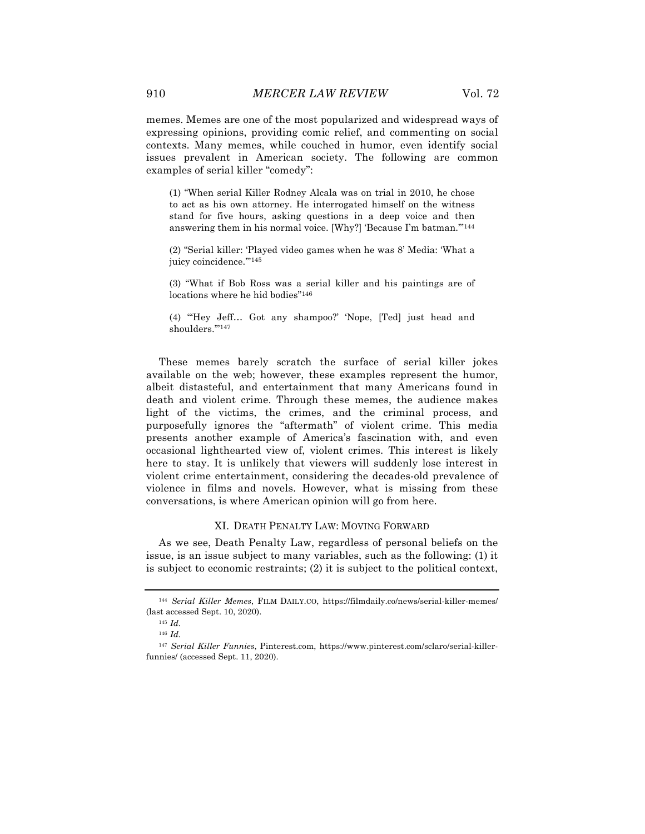memes. Memes are one of the most popularized and widespread ways of expressing opinions, providing comic relief, and commenting on social contexts. Many memes, while couched in humor, even identify social issues prevalent in American society. The following are common examples of serial killer "comedy":

(1) "When serial Killer Rodney Alcala was on trial in 2010, he chose to act as his own attorney. He interrogated himself on the witness stand for five hours, asking questions in a deep voice and then answering them in his normal voice. [Why?] 'Because I'm batman.'"144

(2) "Serial killer: 'Played video games when he was 8' Media: 'What a juicy coincidence."<sup>145</sup>

(3) "What if Bob Ross was a serial killer and his paintings are of locations where he hid bodies"146

(4) "'Hey Jeff… Got any shampoo?' 'Nope, [Ted] just head and shoulders.'"147

These memes barely scratch the surface of serial killer jokes available on the web; however, these examples represent the humor, albeit distasteful, and entertainment that many Americans found in death and violent crime. Through these memes, the audience makes light of the victims, the crimes, and the criminal process, and purposefully ignores the "aftermath" of violent crime. This media presents another example of America's fascination with, and even occasional lighthearted view of, violent crimes. This interest is likely here to stay. It is unlikely that viewers will suddenly lose interest in violent crime entertainment, considering the decades-old prevalence of violence in films and novels. However, what is missing from these conversations, is where American opinion will go from here.

#### XI. DEATH PENALTY LAW: MOVING FORWARD

As we see, Death Penalty Law, regardless of personal beliefs on the issue, is an issue subject to many variables, such as the following: (1) it is subject to economic restraints; (2) it is subject to the political context,

<sup>144</sup> *Serial Killer Memes*, FILM DAILY.CO, https://filmdaily.co/news/serial-killer-memes/ (last accessed Sept. 10, 2020).

<sup>145</sup> *Id.*

<sup>146</sup> *Id.*

<sup>147</sup> *Serial Killer Funnies*, Pinterest.com, https://www.pinterest.com/sclaro/serial-killerfunnies/ (accessed Sept. 11, 2020).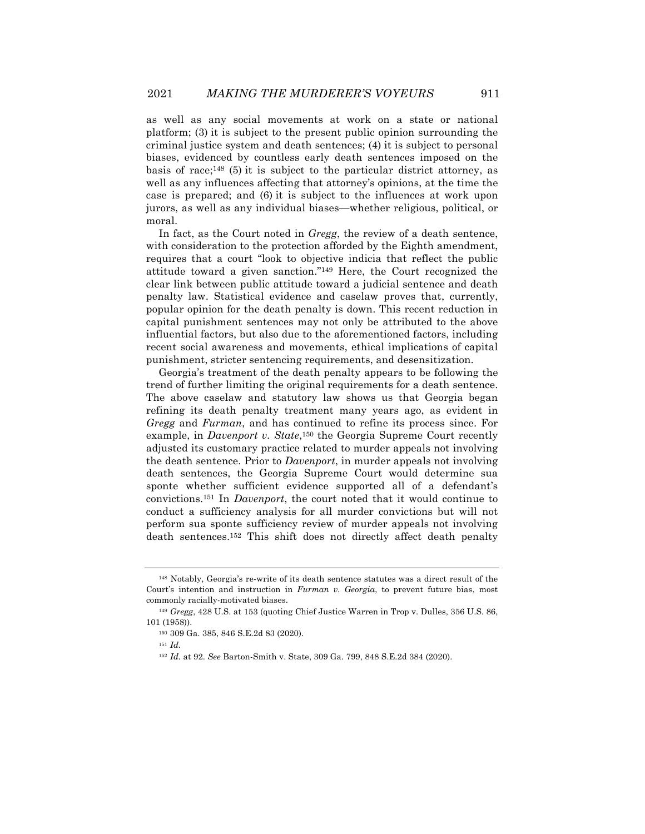as well as any social movements at work on a state or national platform; (3) it is subject to the present public opinion surrounding the criminal justice system and death sentences; (4) it is subject to personal biases, evidenced by countless early death sentences imposed on the basis of race;<sup>148</sup> (5) it is subject to the particular district attorney, as well as any influences affecting that attorney's opinions, at the time the case is prepared; and (6) it is subject to the influences at work upon jurors, as well as any individual biases—whether religious, political, or moral.

In fact, as the Court noted in *Gregg*, the review of a death sentence, with consideration to the protection afforded by the Eighth amendment, requires that a court "look to objective indicia that reflect the public attitude toward a given sanction."149 Here, the Court recognized the clear link between public attitude toward a judicial sentence and death penalty law. Statistical evidence and caselaw proves that, currently, popular opinion for the death penalty is down. This recent reduction in capital punishment sentences may not only be attributed to the above influential factors, but also due to the aforementioned factors, including recent social awareness and movements, ethical implications of capital punishment, stricter sentencing requirements, and desensitization.

Georgia's treatment of the death penalty appears to be following the trend of further limiting the original requirements for a death sentence. The above caselaw and statutory law shows us that Georgia began refining its death penalty treatment many years ago, as evident in *Gregg* and *Furman*, and has continued to refine its process since. For example, in *Davenport v. State*,150 the Georgia Supreme Court recently adjusted its customary practice related to murder appeals not involving the death sentence. Prior to *Davenport*, in murder appeals not involving death sentences, the Georgia Supreme Court would determine sua sponte whether sufficient evidence supported all of a defendant's convictions.151 In *Davenport*, the court noted that it would continue to conduct a sufficiency analysis for all murder convictions but will not perform sua sponte sufficiency review of murder appeals not involving death sentences.152 This shift does not directly affect death penalty

<sup>148</sup> Notably, Georgia's re-write of its death sentence statutes was a direct result of the Court's intention and instruction in *Furman v. Georgia*, to prevent future bias, most commonly racially-motivated biases.

<sup>149</sup> *Gregg*, 428 U.S. at 153 (quoting Chief Justice Warren in Trop v. Dulles, 356 U.S. 86, 101 (1958)).

<sup>150</sup> 309 Ga. 385, 846 S.E.2d 83 (2020).

<sup>151</sup> *Id.*

<sup>152</sup> *Id.* at 92. *See* Barton-Smith v. State, 309 Ga. 799, 848 S.E.2d 384 (2020).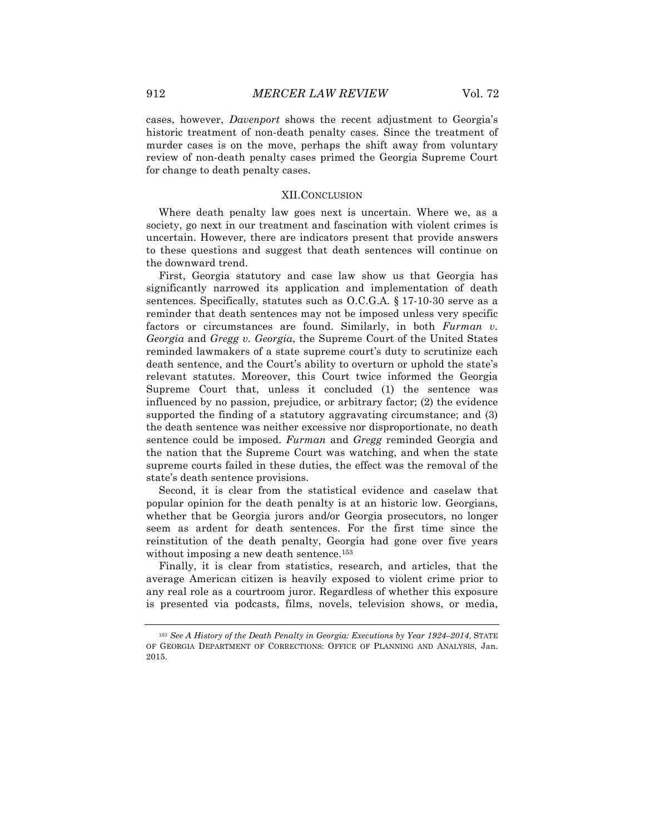cases, however, *Davenport* shows the recent adjustment to Georgia's historic treatment of non-death penalty cases. Since the treatment of murder cases is on the move, perhaps the shift away from voluntary review of non-death penalty cases primed the Georgia Supreme Court for change to death penalty cases.

#### XII.CONCLUSION

Where death penalty law goes next is uncertain. Where we, as a society, go next in our treatment and fascination with violent crimes is uncertain. However, there are indicators present that provide answers to these questions and suggest that death sentences will continue on the downward trend.

First, Georgia statutory and case law show us that Georgia has significantly narrowed its application and implementation of death sentences. Specifically, statutes such as O.C.G.A. § 17-10-30 serve as a reminder that death sentences may not be imposed unless very specific factors or circumstances are found. Similarly, in both *Furman v. Georgia* and *Gregg v. Georgia*, the Supreme Court of the United States reminded lawmakers of a state supreme court's duty to scrutinize each death sentence, and the Court's ability to overturn or uphold the state's relevant statutes. Moreover, this Court twice informed the Georgia Supreme Court that, unless it concluded (1) the sentence was influenced by no passion, prejudice, or arbitrary factor; (2) the evidence supported the finding of a statutory aggravating circumstance; and (3) the death sentence was neither excessive nor disproportionate, no death sentence could be imposed. *Furman* and *Gregg* reminded Georgia and the nation that the Supreme Court was watching, and when the state supreme courts failed in these duties, the effect was the removal of the state's death sentence provisions.

Second, it is clear from the statistical evidence and caselaw that popular opinion for the death penalty is at an historic low. Georgians, whether that be Georgia jurors and/or Georgia prosecutors, no longer seem as ardent for death sentences. For the first time since the reinstitution of the death penalty, Georgia had gone over five years without imposing a new death sentence.<sup>153</sup>

Finally, it is clear from statistics, research, and articles, that the average American citizen is heavily exposed to violent crime prior to any real role as a courtroom juror. Regardless of whether this exposure is presented via podcasts, films, novels, television shows, or media,

<sup>153</sup> *See A History of the Death Penalty in Georgia: Executions by Year 1924–2014*, STATE OF GEORGIA DEPARTMENT OF CORRECTIONS: OFFICE OF PLANNING AND ANALYSIS, Jan. 2015.